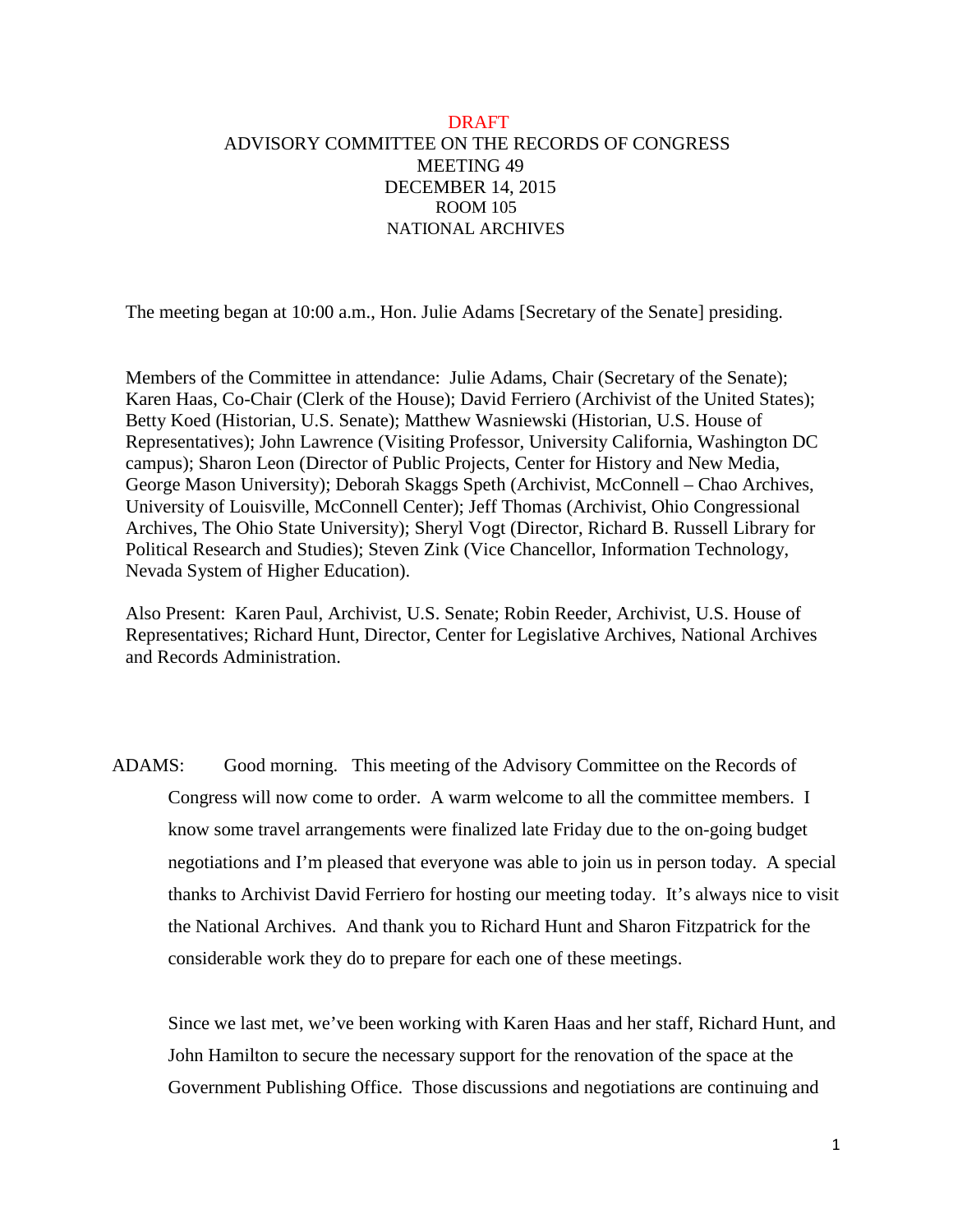## DRAFT ADVISORY COMMITTEE ON THE RECORDS OF CONGRESS MEETING 49 DECEMBER 14, 2015 ROOM 105 NATIONAL ARCHIVES

The meeting began at 10:00 a.m., Hon. Julie Adams [Secretary of the Senate] presiding.

Members of the Committee in attendance: Julie Adams, Chair (Secretary of the Senate); Karen Haas, Co-Chair (Clerk of the House); David Ferriero (Archivist of the United States); Betty Koed (Historian, U.S. Senate); Matthew Wasniewski (Historian, U.S. House of Representatives); John Lawrence (Visiting Professor, University California, Washington DC campus); Sharon Leon (Director of Public Projects, Center for History and New Media, George Mason University); Deborah Skaggs Speth (Archivist, McConnell – Chao Archives, University of Louisville, McConnell Center); Jeff Thomas (Archivist, Ohio Congressional Archives, The Ohio State University); Sheryl Vogt (Director, Richard B. Russell Library for Political Research and Studies); Steven Zink (Vice Chancellor, Information Technology, Nevada System of Higher Education).

Also Present: Karen Paul, Archivist, U.S. Senate; Robin Reeder, Archivist, U.S. House of Representatives; Richard Hunt, Director, Center for Legislative Archives, National Archives and Records Administration.

ADAMS: Good morning. This meeting of the Advisory Committee on the Records of Congress will now come to order. A warm welcome to all the committee members. I know some travel arrangements were finalized late Friday due to the on-going budget negotiations and I'm pleased that everyone was able to join us in person today. A special thanks to Archivist David Ferriero for hosting our meeting today. It's always nice to visit the National Archives. And thank you to Richard Hunt and Sharon Fitzpatrick for the considerable work they do to prepare for each one of these meetings.

Since we last met, we've been working with Karen Haas and her staff, Richard Hunt, and John Hamilton to secure the necessary support for the renovation of the space at the Government Publishing Office. Those discussions and negotiations are continuing and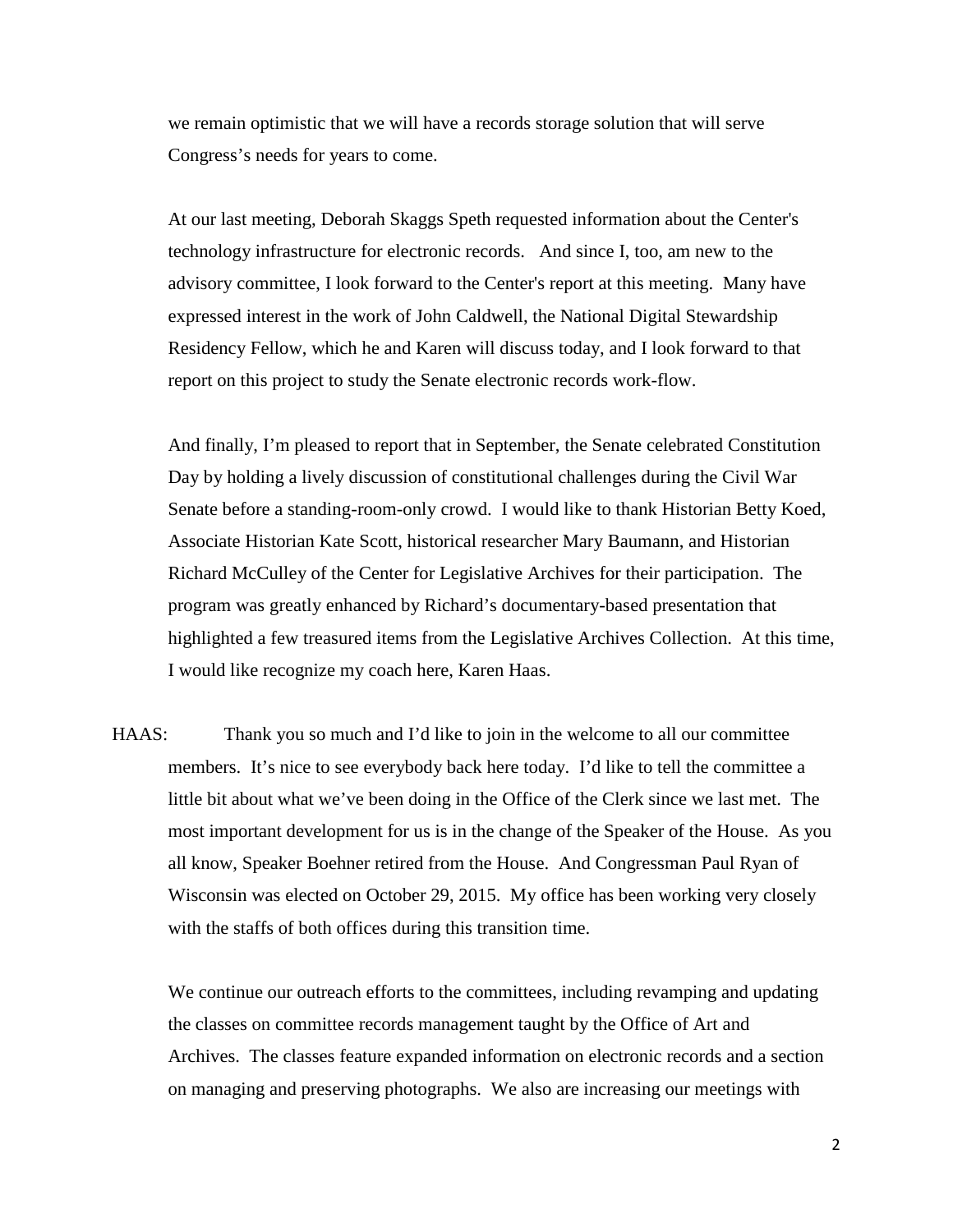we remain optimistic that we will have a records storage solution that will serve Congress's needs for years to come.

At our last meeting, Deborah Skaggs Speth requested information about the Center's technology infrastructure for electronic records. And since I, too, am new to the advisory committee, I look forward to the Center's report at this meeting. Many have expressed interest in the work of John Caldwell, the National Digital Stewardship Residency Fellow, which he and Karen will discuss today, and I look forward to that report on this project to study the Senate electronic records work-flow.

And finally, I'm pleased to report that in September, the Senate celebrated Constitution Day by holding a lively discussion of constitutional challenges during the Civil War Senate before a standing-room-only crowd. I would like to thank Historian Betty Koed, Associate Historian Kate Scott, historical researcher Mary Baumann, and Historian Richard McCulley of the Center for Legislative Archives for their participation. The program was greatly enhanced by Richard's documentary-based presentation that highlighted a few treasured items from the Legislative Archives Collection. At this time, I would like recognize my coach here, Karen Haas.

HAAS: Thank you so much and I'd like to join in the welcome to all our committee members. It's nice to see everybody back here today. I'd like to tell the committee a little bit about what we've been doing in the Office of the Clerk since we last met. The most important development for us is in the change of the Speaker of the House. As you all know, Speaker Boehner retired from the House. And Congressman Paul Ryan of Wisconsin was elected on October 29, 2015. My office has been working very closely with the staffs of both offices during this transition time.

We continue our outreach efforts to the committees, including revamping and updating the classes on committee records management taught by the Office of Art and Archives. The classes feature expanded information on electronic records and a section on managing and preserving photographs. We also are increasing our meetings with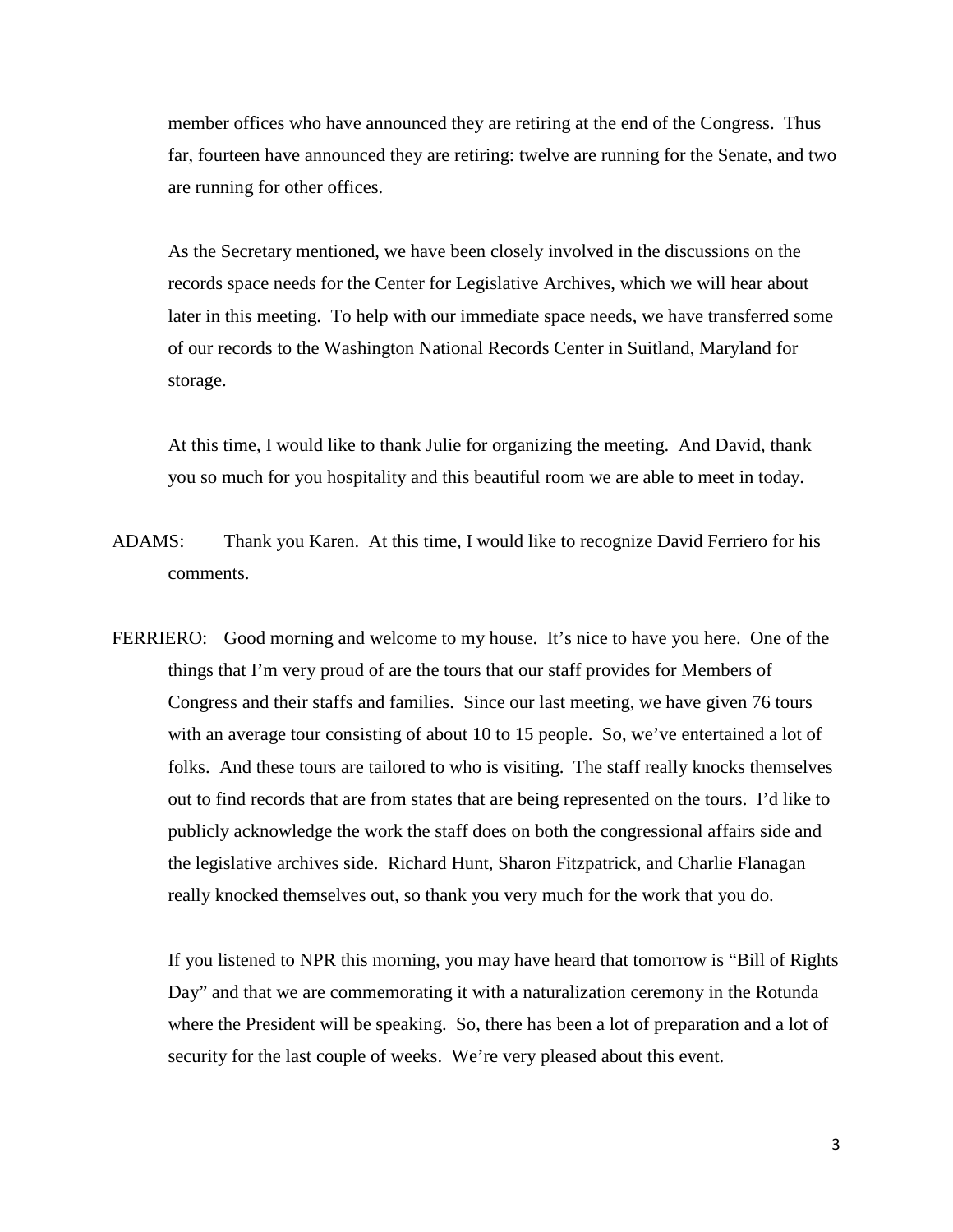member offices who have announced they are retiring at the end of the Congress. Thus far, fourteen have announced they are retiring: twelve are running for the Senate, and two are running for other offices.

As the Secretary mentioned, we have been closely involved in the discussions on the records space needs for the Center for Legislative Archives, which we will hear about later in this meeting. To help with our immediate space needs, we have transferred some of our records to the Washington National Records Center in Suitland, Maryland for storage.

At this time, I would like to thank Julie for organizing the meeting. And David, thank you so much for you hospitality and this beautiful room we are able to meet in today.

- ADAMS: Thank you Karen. At this time, I would like to recognize David Ferriero for his comments.
- FERRIERO: Good morning and welcome to my house. It's nice to have you here. One of the things that I'm very proud of are the tours that our staff provides for Members of Congress and their staffs and families. Since our last meeting, we have given 76 tours with an average tour consisting of about 10 to 15 people. So, we've entertained a lot of folks. And these tours are tailored to who is visiting. The staff really knocks themselves out to find records that are from states that are being represented on the tours. I'd like to publicly acknowledge the work the staff does on both the congressional affairs side and the legislative archives side. Richard Hunt, Sharon Fitzpatrick, and Charlie Flanagan really knocked themselves out, so thank you very much for the work that you do.

If you listened to NPR this morning, you may have heard that tomorrow is "Bill of Rights Day" and that we are commemorating it with a naturalization ceremony in the Rotunda where the President will be speaking. So, there has been a lot of preparation and a lot of security for the last couple of weeks. We're very pleased about this event.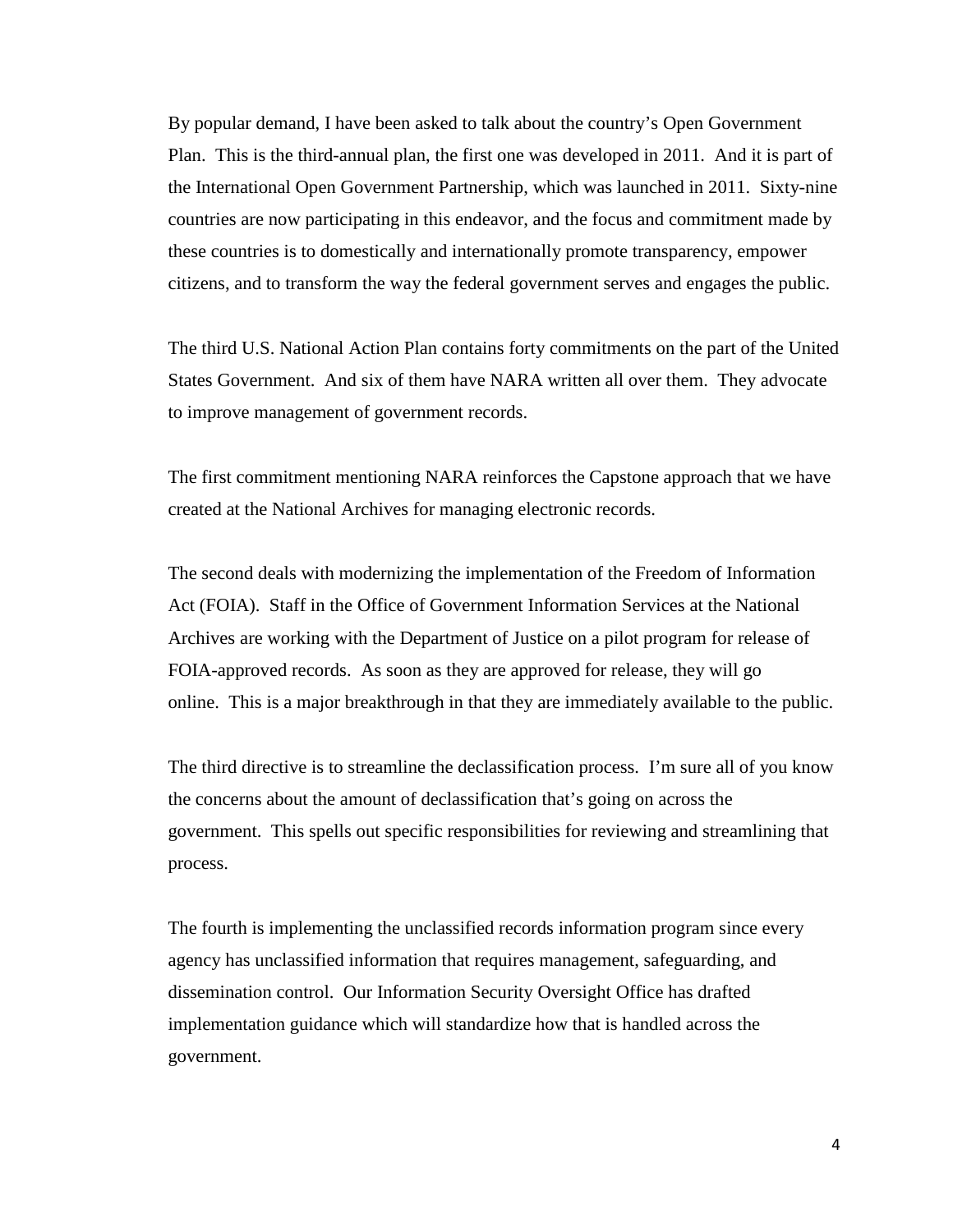By popular demand, I have been asked to talk about the country's Open Government Plan. This is the third-annual plan, the first one was developed in 2011. And it is part of the International Open Government Partnership, which was launched in 2011. Sixty-nine countries are now participating in this endeavor, and the focus and commitment made by these countries is to domestically and internationally promote transparency, empower citizens, and to transform the way the federal government serves and engages the public.

The third U.S. National Action Plan contains forty commitments on the part of the United States Government. And six of them have NARA written all over them. They advocate to improve management of government records.

The first commitment mentioning NARA reinforces the Capstone approach that we have created at the National Archives for managing electronic records.

The second deals with modernizing the implementation of the Freedom of Information Act (FOIA). Staff in the Office of Government Information Services at the National Archives are working with the Department of Justice on a pilot program for release of FOIA-approved records. As soon as they are approved for release, they will go online. This is a major breakthrough in that they are immediately available to the public.

The third directive is to streamline the declassification process. I'm sure all of you know the concerns about the amount of declassification that's going on across the government. This spells out specific responsibilities for reviewing and streamlining that process.

The fourth is implementing the unclassified records information program since every agency has unclassified information that requires management, safeguarding, and dissemination control. Our Information Security Oversight Office has drafted implementation guidance which will standardize how that is handled across the government.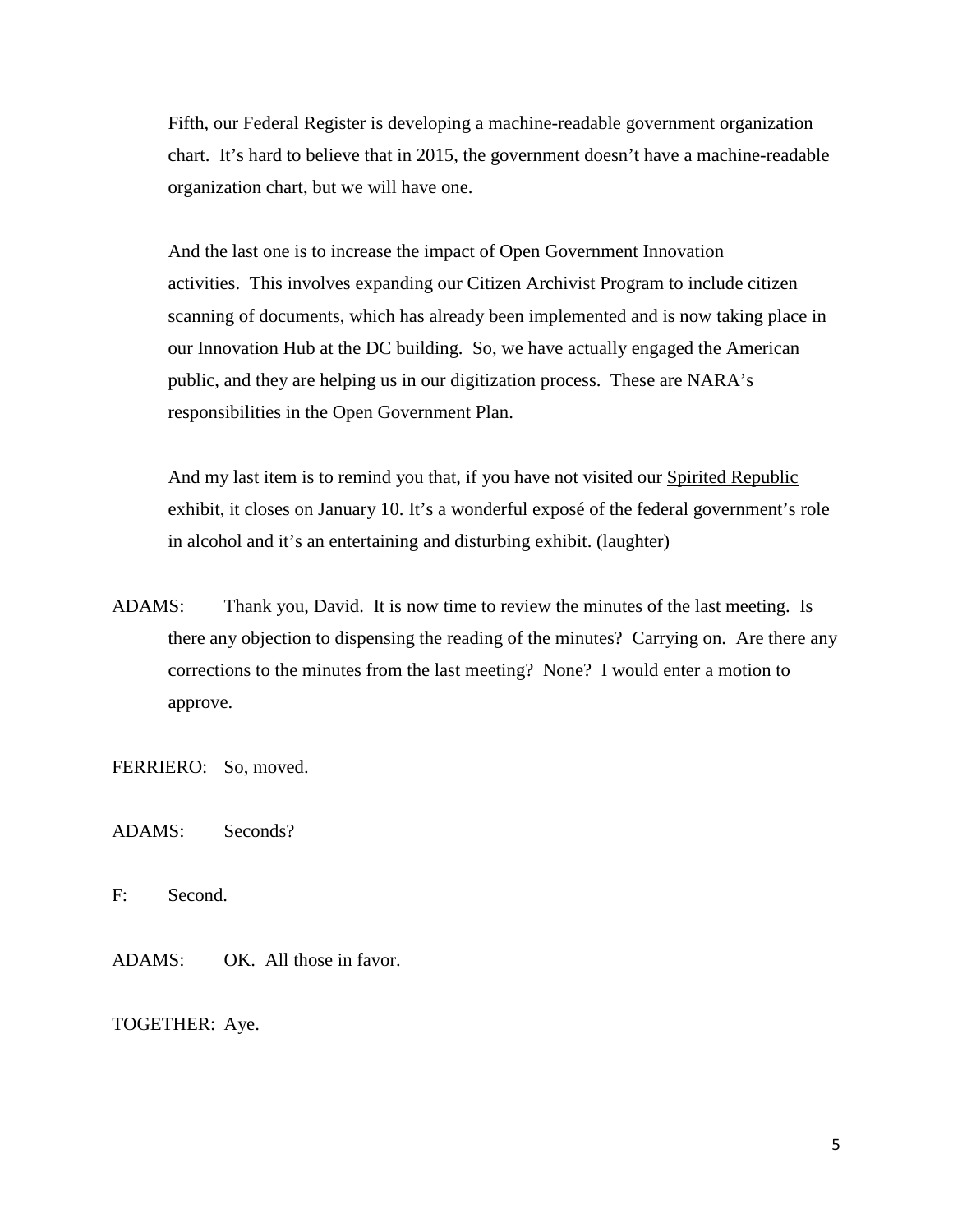Fifth, our Federal Register is developing a machine-readable government organization chart. It's hard to believe that in 2015, the government doesn't have a machine-readable organization chart, but we will have one.

And the last one is to increase the impact of Open Government Innovation activities. This involves expanding our Citizen Archivist Program to include citizen scanning of documents, which has already been implemented and is now taking place in our Innovation Hub at the DC building. So, we have actually engaged the American public, and they are helping us in our digitization process. These are NARA's responsibilities in the Open Government Plan.

And my last item is to remind you that, if you have not visited our Spirited Republic exhibit, it closes on January 10. It's a wonderful exposé of the federal government's role in alcohol and it's an entertaining and disturbing exhibit. (laughter)

ADAMS: Thank you, David. It is now time to review the minutes of the last meeting. Is there any objection to dispensing the reading of the minutes? Carrying on. Are there any corrections to the minutes from the last meeting? None? I would enter a motion to approve.

FERRIERO: So, moved.

ADAMS: Seconds?

F: Second.

ADAMS: OK. All those in favor.

TOGETHER: Aye.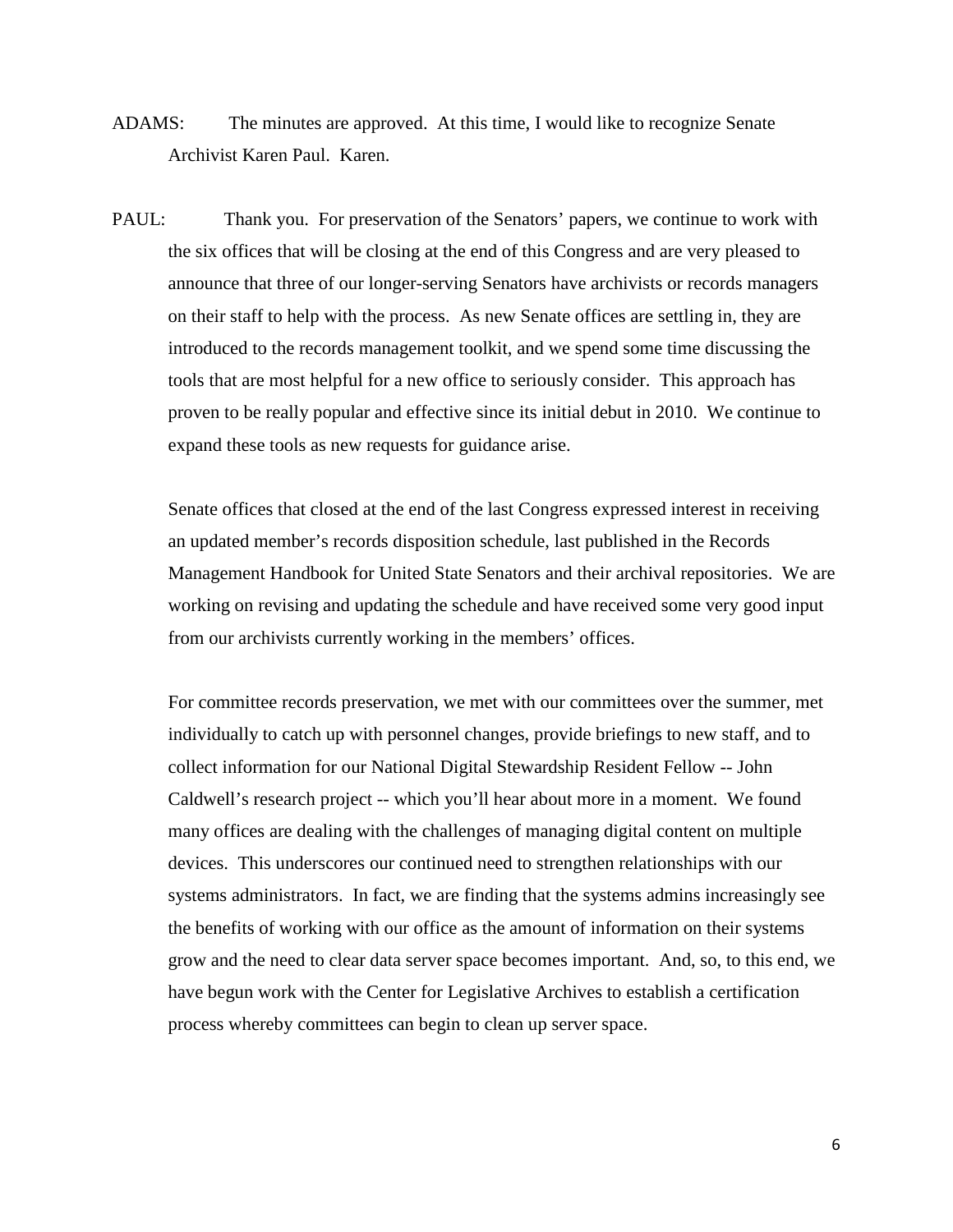- ADAMS: The minutes are approved. At this time, I would like to recognize Senate Archivist Karen Paul. Karen.
- PAUL: Thank you. For preservation of the Senators' papers, we continue to work with the six offices that will be closing at the end of this Congress and are very pleased to announce that three of our longer-serving Senators have archivists or records managers on their staff to help with the process. As new Senate offices are settling in, they are introduced to the records management toolkit, and we spend some time discussing the tools that are most helpful for a new office to seriously consider. This approach has proven to be really popular and effective since its initial debut in 2010. We continue to expand these tools as new requests for guidance arise.

Senate offices that closed at the end of the last Congress expressed interest in receiving an updated member's records disposition schedule, last published in the Records Management Handbook for United State Senators and their archival repositories. We are working on revising and updating the schedule and have received some very good input from our archivists currently working in the members' offices.

For committee records preservation, we met with our committees over the summer, met individually to catch up with personnel changes, provide briefings to new staff, and to collect information for our National Digital Stewardship Resident Fellow -- John Caldwell's research project -- which you'll hear about more in a moment. We found many offices are dealing with the challenges of managing digital content on multiple devices. This underscores our continued need to strengthen relationships with our systems administrators. In fact, we are finding that the systems admins increasingly see the benefits of working with our office as the amount of information on their systems grow and the need to clear data server space becomes important. And, so, to this end, we have begun work with the Center for Legislative Archives to establish a certification process whereby committees can begin to clean up server space.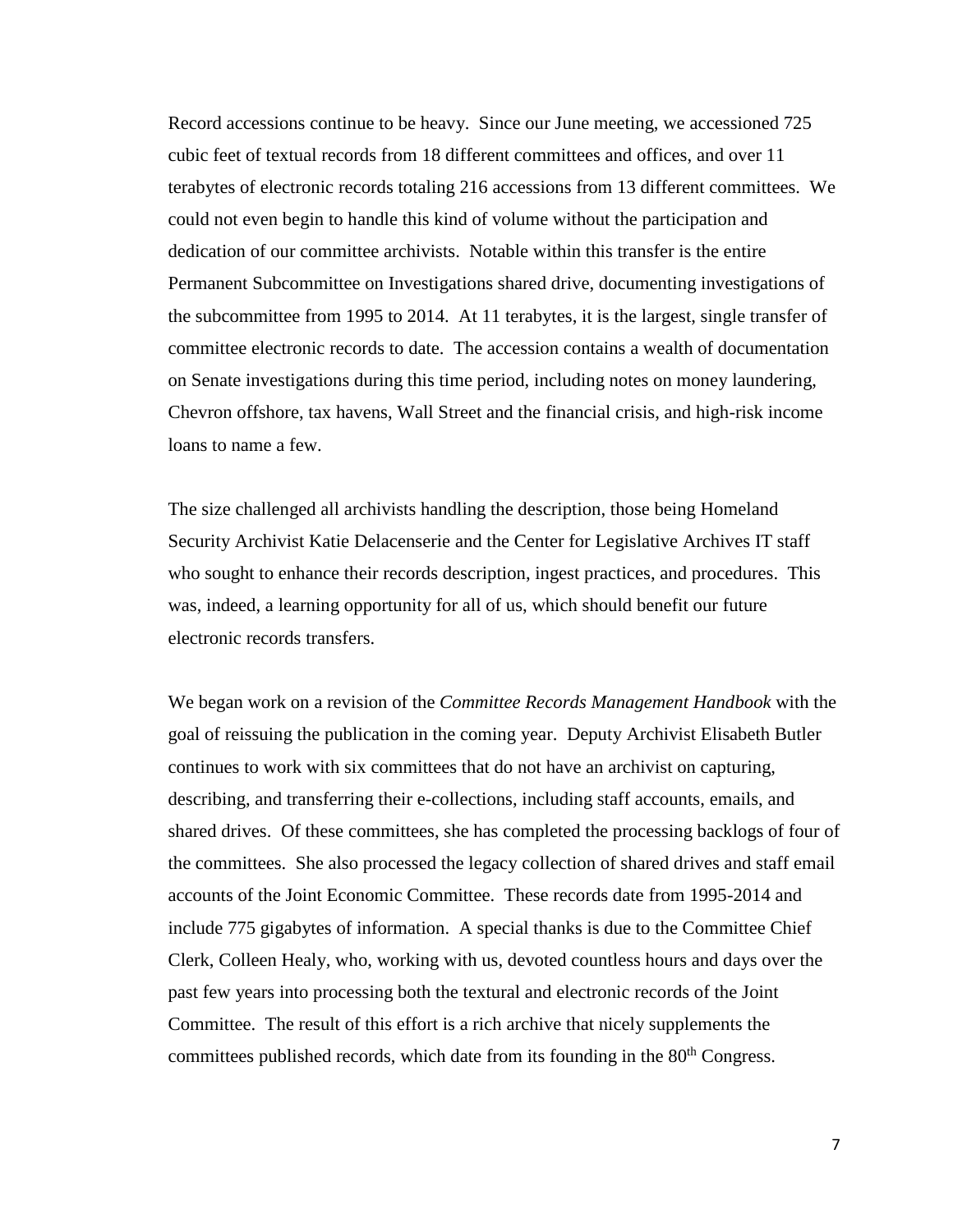Record accessions continue to be heavy. Since our June meeting, we accessioned 725 cubic feet of textual records from 18 different committees and offices, and over 11 terabytes of electronic records totaling 216 accessions from 13 different committees. We could not even begin to handle this kind of volume without the participation and dedication of our committee archivists. Notable within this transfer is the entire Permanent Subcommittee on Investigations shared drive, documenting investigations of the subcommittee from 1995 to 2014. At 11 terabytes, it is the largest, single transfer of committee electronic records to date. The accession contains a wealth of documentation on Senate investigations during this time period, including notes on money laundering, Chevron offshore, tax havens, Wall Street and the financial crisis, and high-risk income loans to name a few.

The size challenged all archivists handling the description, those being Homeland Security Archivist Katie Delacenserie and the Center for Legislative Archives IT staff who sought to enhance their records description, ingest practices, and procedures. This was, indeed, a learning opportunity for all of us, which should benefit our future electronic records transfers.

We began work on a revision of the *Committee Records Management Handbook* with the goal of reissuing the publication in the coming year. Deputy Archivist Elisabeth Butler continues to work with six committees that do not have an archivist on capturing, describing, and transferring their e-collections, including staff accounts, emails, and shared drives. Of these committees, she has completed the processing backlogs of four of the committees. She also processed the legacy collection of shared drives and staff email accounts of the Joint Economic Committee. These records date from 1995-2014 and include 775 gigabytes of information. A special thanks is due to the Committee Chief Clerk, Colleen Healy, who, working with us, devoted countless hours and days over the past few years into processing both the textural and electronic records of the Joint Committee. The result of this effort is a rich archive that nicely supplements the committees published records, which date from its founding in the 80<sup>th</sup> Congress.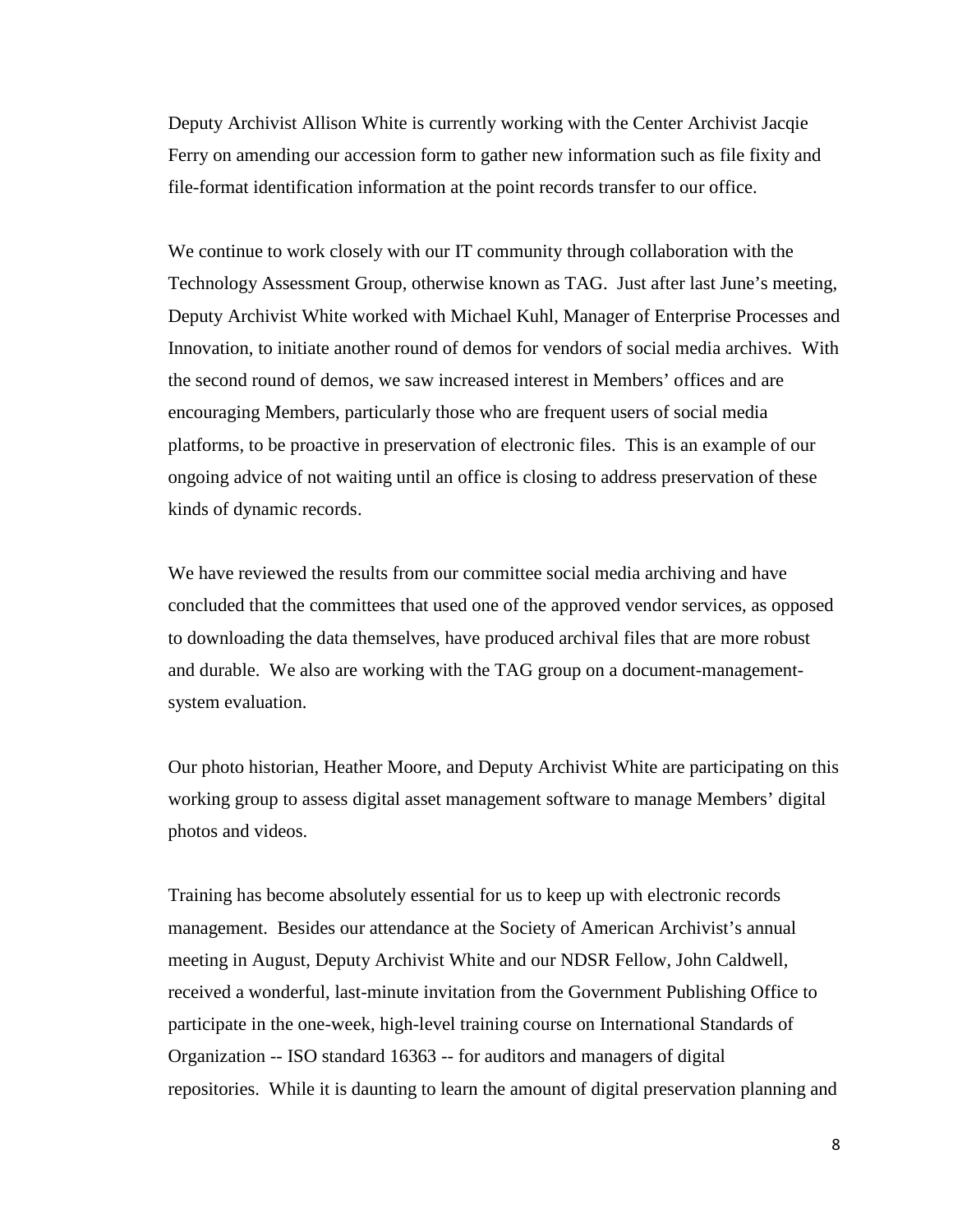Deputy Archivist Allison White is currently working with the Center Archivist Jacqie Ferry on amending our accession form to gather new information such as file fixity and file-format identification information at the point records transfer to our office.

We continue to work closely with our IT community through collaboration with the Technology Assessment Group, otherwise known as TAG. Just after last June's meeting, Deputy Archivist White worked with Michael Kuhl, Manager of Enterprise Processes and Innovation, to initiate another round of demos for vendors of social media archives. With the second round of demos, we saw increased interest in Members' offices and are encouraging Members, particularly those who are frequent users of social media platforms, to be proactive in preservation of electronic files. This is an example of our ongoing advice of not waiting until an office is closing to address preservation of these kinds of dynamic records.

We have reviewed the results from our committee social media archiving and have concluded that the committees that used one of the approved vendor services, as opposed to downloading the data themselves, have produced archival files that are more robust and durable. We also are working with the TAG group on a document-managementsystem evaluation.

Our photo historian, Heather Moore, and Deputy Archivist White are participating on this working group to assess digital asset management software to manage Members' digital photos and videos.

Training has become absolutely essential for us to keep up with electronic records management. Besides our attendance at the Society of American Archivist's annual meeting in August, Deputy Archivist White and our NDSR Fellow, John Caldwell, received a wonderful, last-minute invitation from the Government Publishing Office to participate in the one-week, high-level training course on International Standards of Organization -- ISO standard 16363 -- for auditors and managers of digital repositories. While it is daunting to learn the amount of digital preservation planning and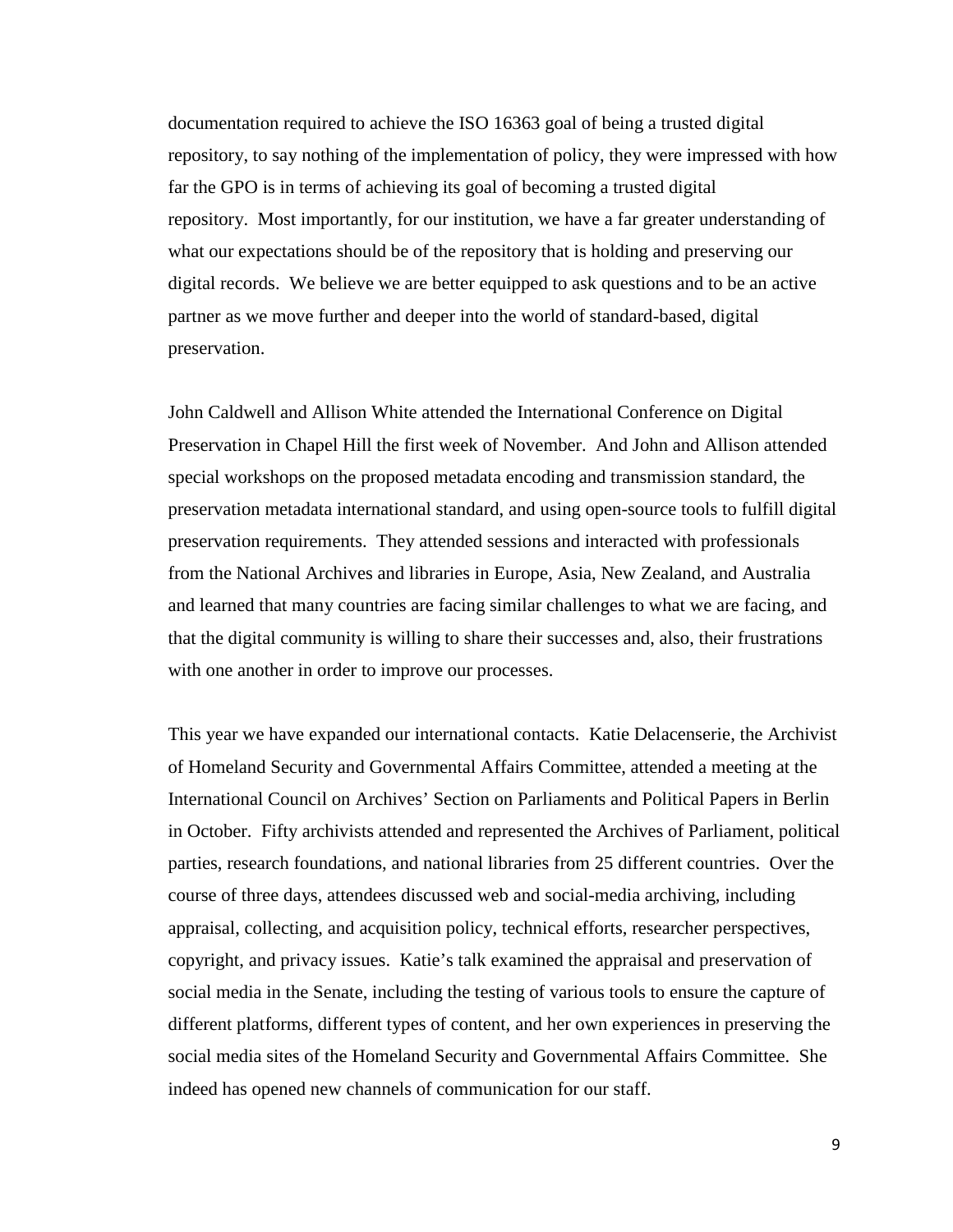documentation required to achieve the ISO 16363 goal of being a trusted digital repository, to say nothing of the implementation of policy, they were impressed with how far the GPO is in terms of achieving its goal of becoming a trusted digital repository. Most importantly, for our institution, we have a far greater understanding of what our expectations should be of the repository that is holding and preserving our digital records. We believe we are better equipped to ask questions and to be an active partner as we move further and deeper into the world of standard-based, digital preservation.

John Caldwell and Allison White attended the International Conference on Digital Preservation in Chapel Hill the first week of November. And John and Allison attended special workshops on the proposed metadata encoding and transmission standard, the preservation metadata international standard, and using open-source tools to fulfill digital preservation requirements. They attended sessions and interacted with professionals from the National Archives and libraries in Europe, Asia, New Zealand, and Australia and learned that many countries are facing similar challenges to what we are facing, and that the digital community is willing to share their successes and, also, their frustrations with one another in order to improve our processes.

This year we have expanded our international contacts. Katie Delacenserie, the Archivist of Homeland Security and Governmental Affairs Committee, attended a meeting at the International Council on Archives' Section on Parliaments and Political Papers in Berlin in October. Fifty archivists attended and represented the Archives of Parliament, political parties, research foundations, and national libraries from 25 different countries. Over the course of three days, attendees discussed web and social-media archiving, including appraisal, collecting, and acquisition policy, technical efforts, researcher perspectives, copyright, and privacy issues. Katie's talk examined the appraisal and preservation of social media in the Senate, including the testing of various tools to ensure the capture of different platforms, different types of content, and her own experiences in preserving the social media sites of the Homeland Security and Governmental Affairs Committee. She indeed has opened new channels of communication for our staff.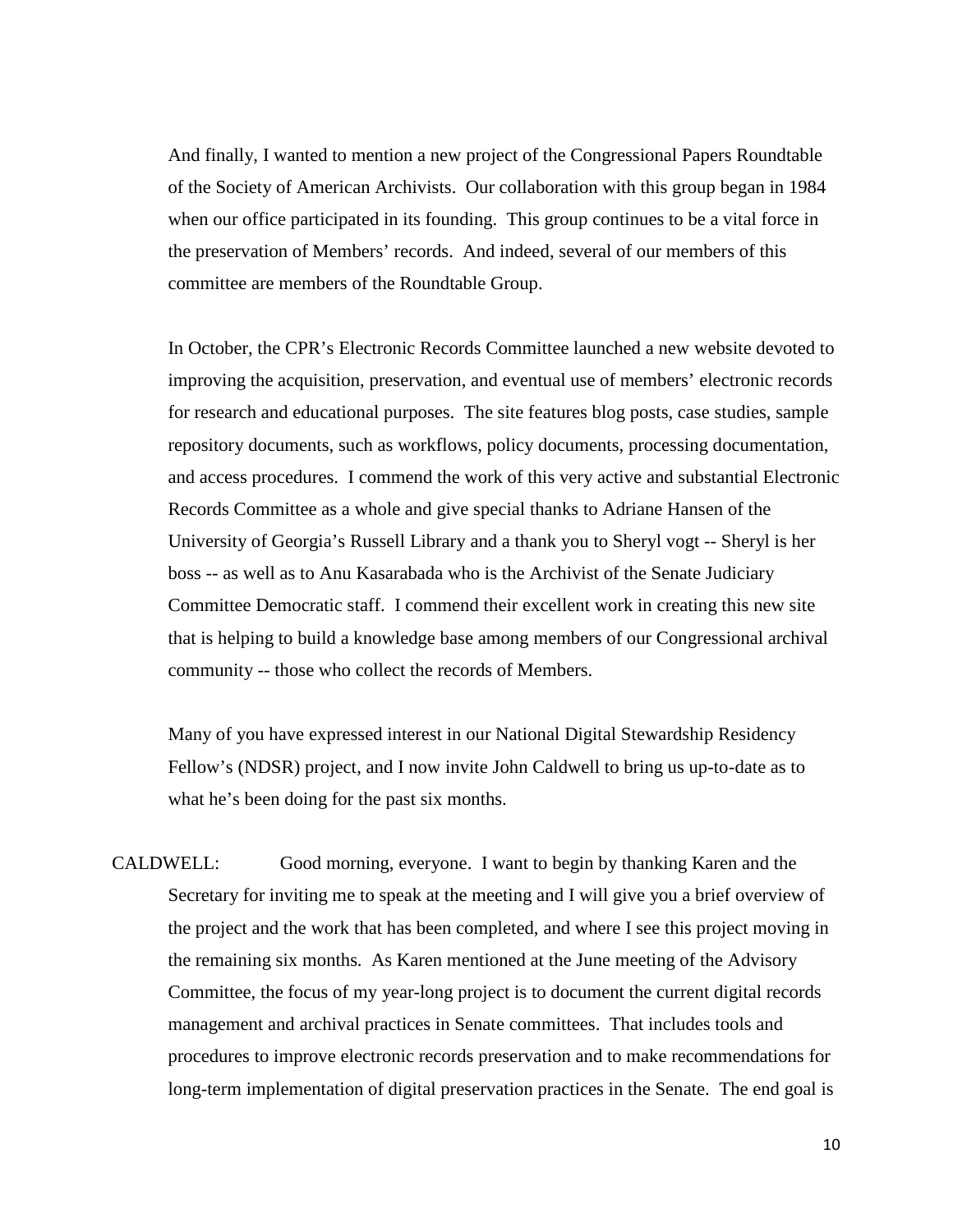And finally, I wanted to mention a new project of the Congressional Papers Roundtable of the Society of American Archivists. Our collaboration with this group began in 1984 when our office participated in its founding. This group continues to be a vital force in the preservation of Members' records. And indeed, several of our members of this committee are members of the Roundtable Group.

In October, the CPR's Electronic Records Committee launched a new website devoted to improving the acquisition, preservation, and eventual use of members' electronic records for research and educational purposes. The site features blog posts, case studies, sample repository documents, such as workflows, policy documents, processing documentation, and access procedures. I commend the work of this very active and substantial Electronic Records Committee as a whole and give special thanks to Adriane Hansen of the University of Georgia's Russell Library and a thank you to Sheryl vogt -- Sheryl is her boss -- as well as to Anu Kasarabada who is the Archivist of the Senate Judiciary Committee Democratic staff. I commend their excellent work in creating this new site that is helping to build a knowledge base among members of our Congressional archival community -- those who collect the records of Members.

Many of you have expressed interest in our National Digital Stewardship Residency Fellow's (NDSR) project, and I now invite John Caldwell to bring us up-to-date as to what he's been doing for the past six months.

CALDWELL: Good morning, everyone. I want to begin by thanking Karen and the Secretary for inviting me to speak at the meeting and I will give you a brief overview of the project and the work that has been completed, and where I see this project moving in the remaining six months. As Karen mentioned at the June meeting of the Advisory Committee, the focus of my year-long project is to document the current digital records management and archival practices in Senate committees. That includes tools and procedures to improve electronic records preservation and to make recommendations for long-term implementation of digital preservation practices in the Senate. The end goal is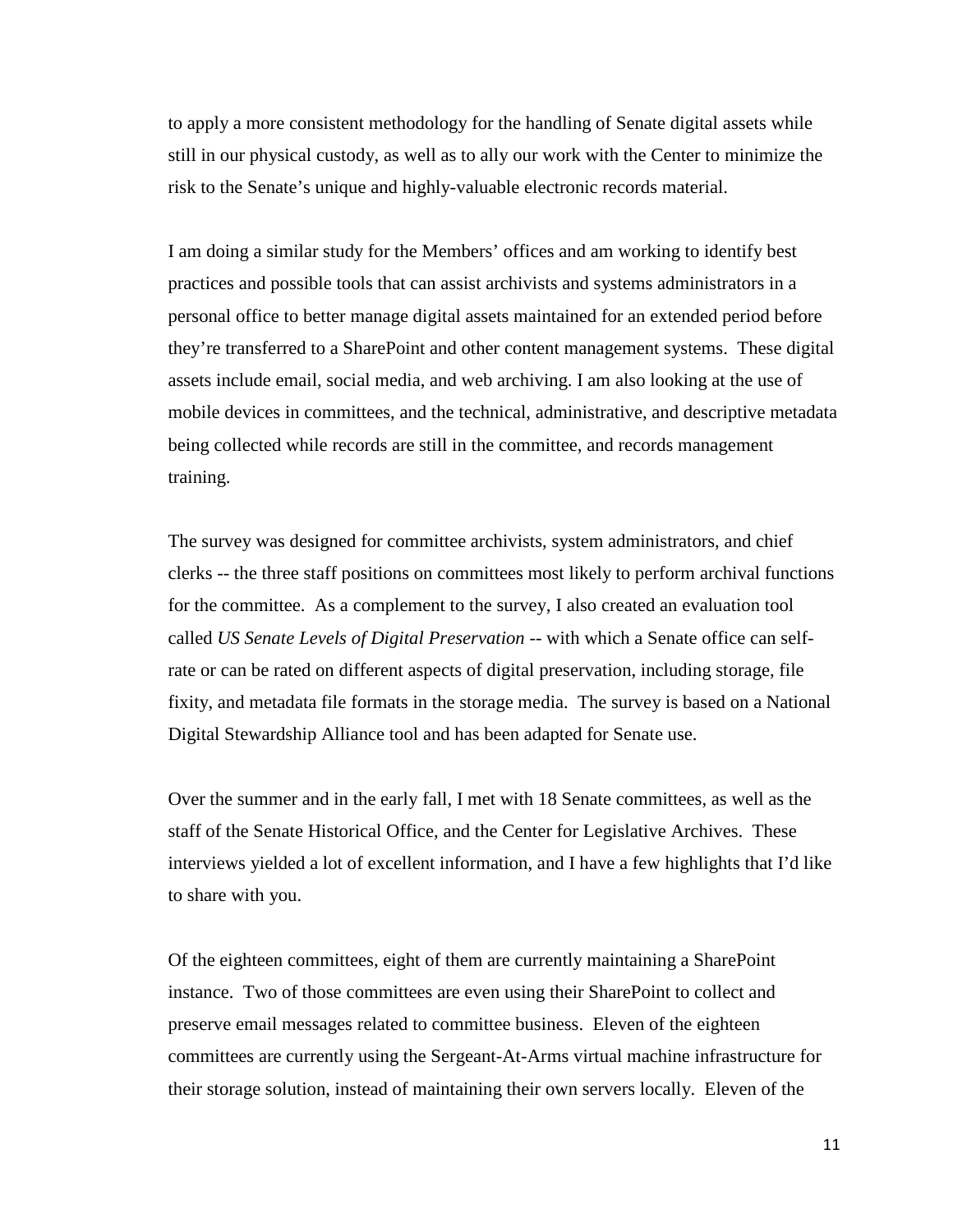to apply a more consistent methodology for the handling of Senate digital assets while still in our physical custody, as well as to ally our work with the Center to minimize the risk to the Senate's unique and highly-valuable electronic records material.

I am doing a similar study for the Members' offices and am working to identify best practices and possible tools that can assist archivists and systems administrators in a personal office to better manage digital assets maintained for an extended period before they're transferred to a SharePoint and other content management systems. These digital assets include email, social media, and web archiving. I am also looking at the use of mobile devices in committees, and the technical, administrative, and descriptive metadata being collected while records are still in the committee, and records management training.

The survey was designed for committee archivists, system administrators, and chief clerks -- the three staff positions on committees most likely to perform archival functions for the committee. As a complement to the survey, I also created an evaluation tool called *US Senate Levels of Digital Preservation* -- with which a Senate office can selfrate or can be rated on different aspects of digital preservation, including storage, file fixity, and metadata file formats in the storage media. The survey is based on a National Digital Stewardship Alliance tool and has been adapted for Senate use.

Over the summer and in the early fall, I met with 18 Senate committees, as well as the staff of the Senate Historical Office, and the Center for Legislative Archives. These interviews yielded a lot of excellent information, and I have a few highlights that I'd like to share with you.

Of the eighteen committees, eight of them are currently maintaining a SharePoint instance. Two of those committees are even using their SharePoint to collect and preserve email messages related to committee business. Eleven of the eighteen committees are currently using the Sergeant-At-Arms virtual machine infrastructure for their storage solution, instead of maintaining their own servers locally. Eleven of the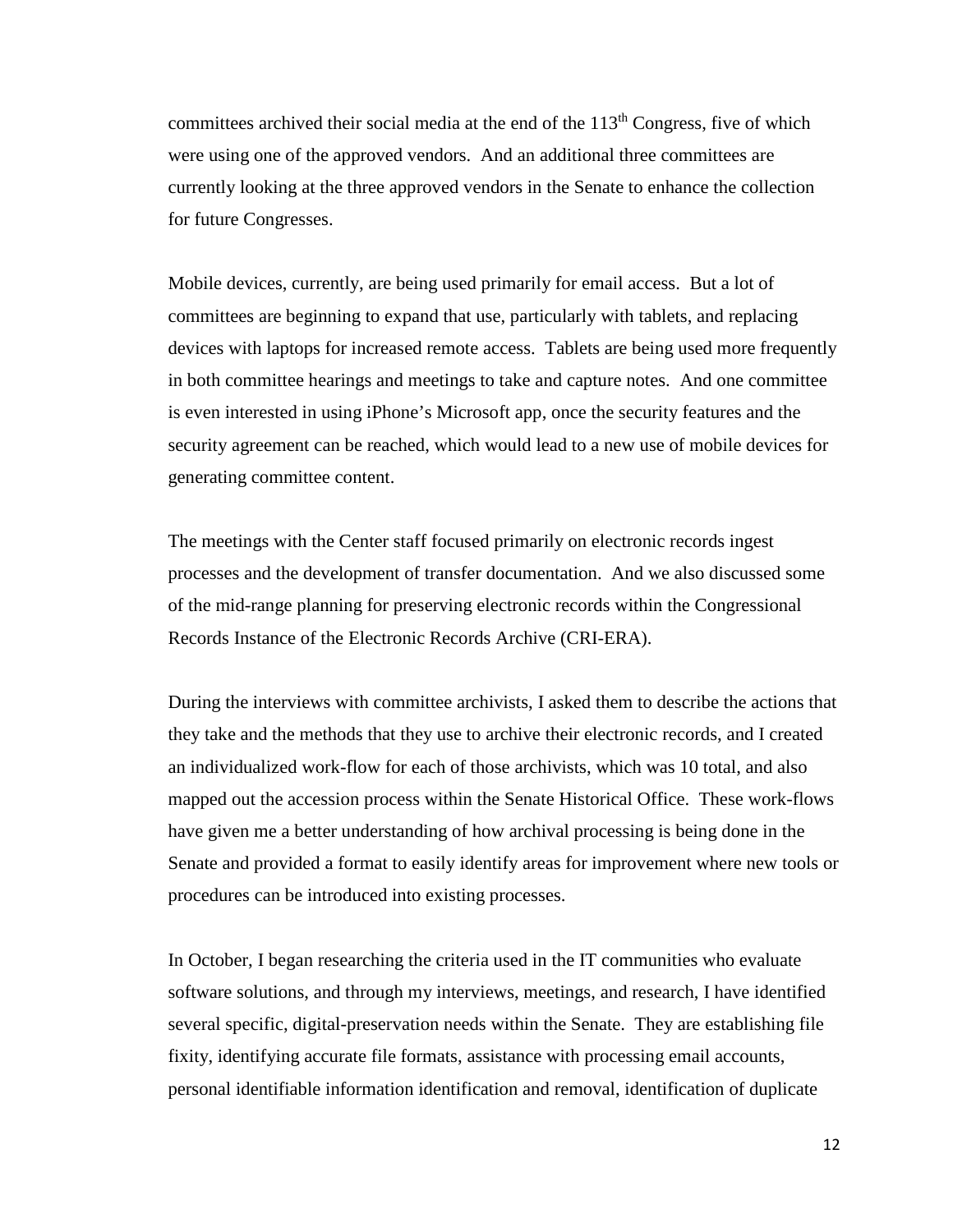committees archived their social media at the end of the  $113<sup>th</sup>$  Congress, five of which were using one of the approved vendors. And an additional three committees are currently looking at the three approved vendors in the Senate to enhance the collection for future Congresses.

Mobile devices, currently, are being used primarily for email access. But a lot of committees are beginning to expand that use, particularly with tablets, and replacing devices with laptops for increased remote access. Tablets are being used more frequently in both committee hearings and meetings to take and capture notes. And one committee is even interested in using iPhone's Microsoft app, once the security features and the security agreement can be reached, which would lead to a new use of mobile devices for generating committee content.

The meetings with the Center staff focused primarily on electronic records ingest processes and the development of transfer documentation. And we also discussed some of the mid-range planning for preserving electronic records within the Congressional Records Instance of the Electronic Records Archive (CRI-ERA).

During the interviews with committee archivists, I asked them to describe the actions that they take and the methods that they use to archive their electronic records, and I created an individualized work-flow for each of those archivists, which was 10 total, and also mapped out the accession process within the Senate Historical Office. These work-flows have given me a better understanding of how archival processing is being done in the Senate and provided a format to easily identify areas for improvement where new tools or procedures can be introduced into existing processes.

In October, I began researching the criteria used in the IT communities who evaluate software solutions, and through my interviews, meetings, and research, I have identified several specific, digital-preservation needs within the Senate. They are establishing file fixity, identifying accurate file formats, assistance with processing email accounts, personal identifiable information identification and removal, identification of duplicate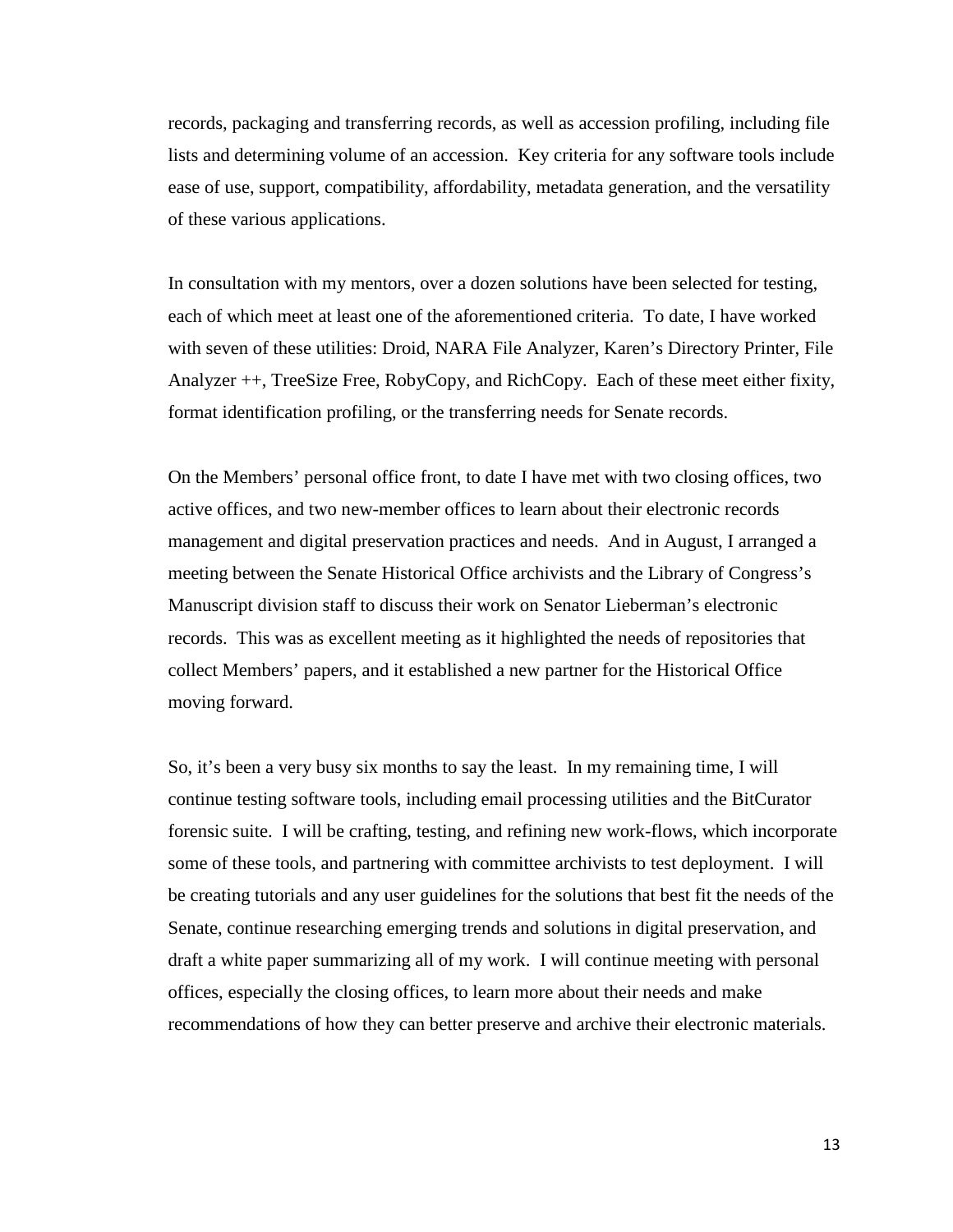records, packaging and transferring records, as well as accession profiling, including file lists and determining volume of an accession. Key criteria for any software tools include ease of use, support, compatibility, affordability, metadata generation, and the versatility of these various applications.

In consultation with my mentors, over a dozen solutions have been selected for testing, each of which meet at least one of the aforementioned criteria. To date, I have worked with seven of these utilities: Droid, NARA File Analyzer, Karen's Directory Printer, File Analyzer ++, TreeSize Free, RobyCopy, and RichCopy. Each of these meet either fixity, format identification profiling, or the transferring needs for Senate records.

On the Members' personal office front, to date I have met with two closing offices, two active offices, and two new-member offices to learn about their electronic records management and digital preservation practices and needs. And in August, I arranged a meeting between the Senate Historical Office archivists and the Library of Congress's Manuscript division staff to discuss their work on Senator Lieberman's electronic records. This was as excellent meeting as it highlighted the needs of repositories that collect Members' papers, and it established a new partner for the Historical Office moving forward.

So, it's been a very busy six months to say the least. In my remaining time, I will continue testing software tools, including email processing utilities and the BitCurator forensic suite. I will be crafting, testing, and refining new work-flows, which incorporate some of these tools, and partnering with committee archivists to test deployment. I will be creating tutorials and any user guidelines for the solutions that best fit the needs of the Senate, continue researching emerging trends and solutions in digital preservation, and draft a white paper summarizing all of my work. I will continue meeting with personal offices, especially the closing offices, to learn more about their needs and make recommendations of how they can better preserve and archive their electronic materials.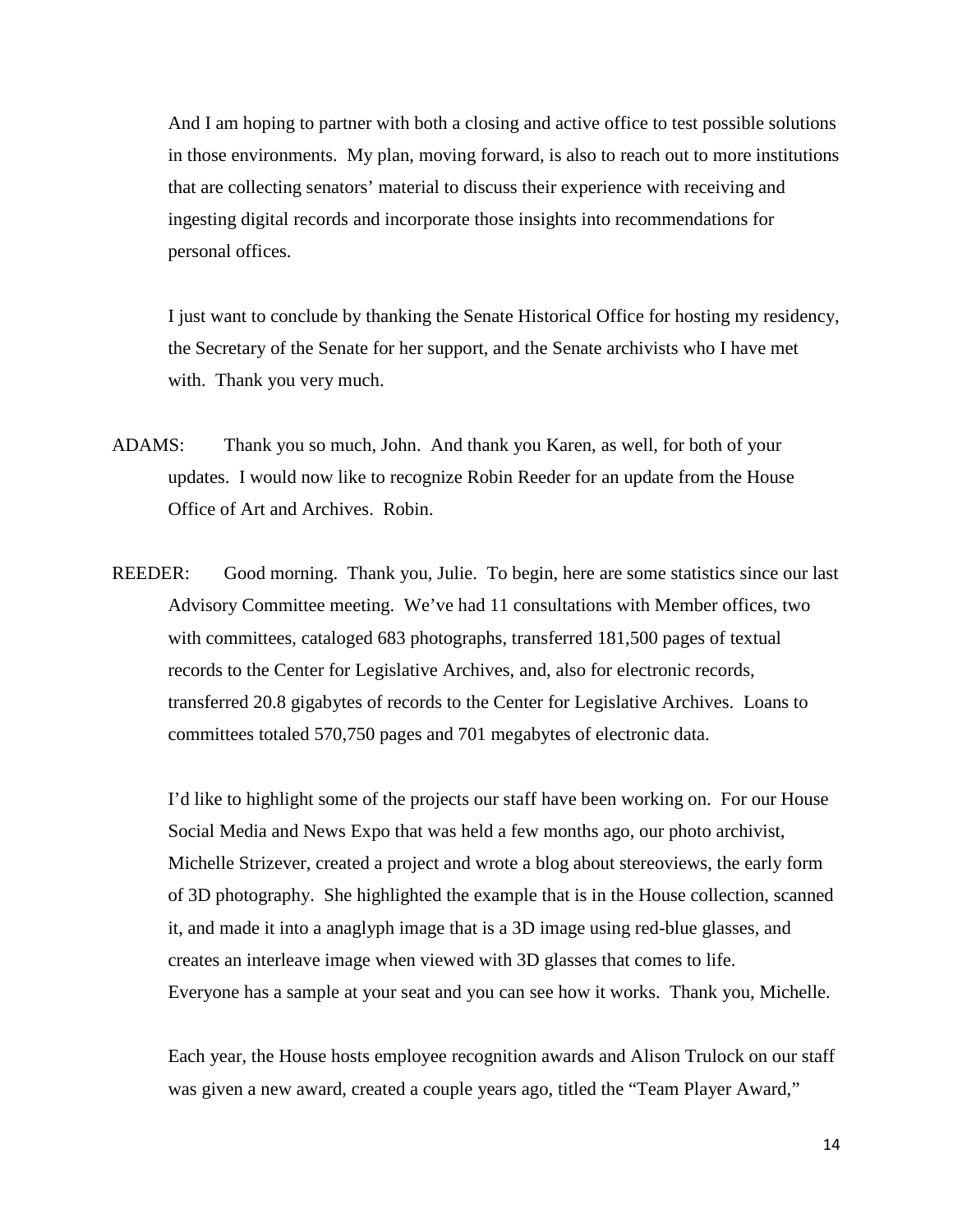And I am hoping to partner with both a closing and active office to test possible solutions in those environments. My plan, moving forward, is also to reach out to more institutions that are collecting senators' material to discuss their experience with receiving and ingesting digital records and incorporate those insights into recommendations for personal offices.

I just want to conclude by thanking the Senate Historical Office for hosting my residency, the Secretary of the Senate for her support, and the Senate archivists who I have met with. Thank you very much.

- ADAMS: Thank you so much, John. And thank you Karen, as well, for both of your updates. I would now like to recognize Robin Reeder for an update from the House Office of Art and Archives. Robin.
- REEDER: Good morning. Thank you, Julie. To begin, here are some statistics since our last Advisory Committee meeting. We've had 11 consultations with Member offices, two with committees, cataloged 683 photographs, transferred 181,500 pages of textual records to the Center for Legislative Archives, and, also for electronic records, transferred 20.8 gigabytes of records to the Center for Legislative Archives. Loans to committees totaled 570,750 pages and 701 megabytes of electronic data.

I'd like to highlight some of the projects our staff have been working on. For our House Social Media and News Expo that was held a few months ago, our photo archivist, Michelle Strizever, created a project and wrote a blog about stereoviews, the early form of 3D photography. She highlighted the example that is in the House collection, scanned it, and made it into a anaglyph image that is a 3D image using red-blue glasses, and creates an interleave image when viewed with 3D glasses that comes to life. Everyone has a sample at your seat and you can see how it works. Thank you, Michelle.

Each year, the House hosts employee recognition awards and Alison Trulock on our staff was given a new award, created a couple years ago, titled the "Team Player Award,"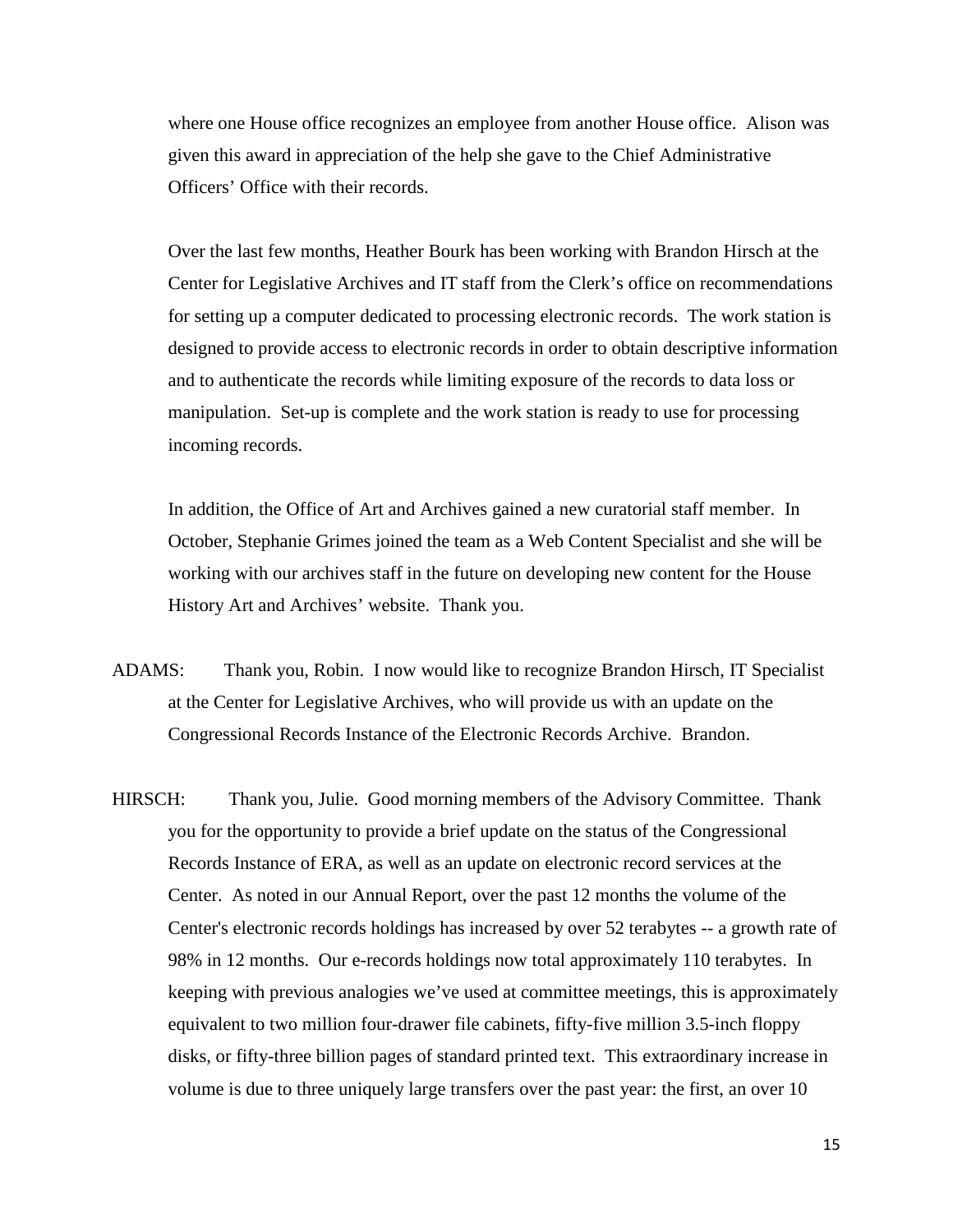where one House office recognizes an employee from another House office. Alison was given this award in appreciation of the help she gave to the Chief Administrative Officers' Office with their records.

Over the last few months, Heather Bourk has been working with Brandon Hirsch at the Center for Legislative Archives and IT staff from the Clerk's office on recommendations for setting up a computer dedicated to processing electronic records. The work station is designed to provide access to electronic records in order to obtain descriptive information and to authenticate the records while limiting exposure of the records to data loss or manipulation. Set-up is complete and the work station is ready to use for processing incoming records.

In addition, the Office of Art and Archives gained a new curatorial staff member. In October, Stephanie Grimes joined the team as a Web Content Specialist and she will be working with our archives staff in the future on developing new content for the House History Art and Archives' website. Thank you.

- ADAMS: Thank you, Robin. I now would like to recognize Brandon Hirsch, IT Specialist at the Center for Legislative Archives, who will provide us with an update on the Congressional Records Instance of the Electronic Records Archive. Brandon.
- HIRSCH: Thank you, Julie. Good morning members of the Advisory Committee. Thank you for the opportunity to provide a brief update on the status of the Congressional Records Instance of ERA, as well as an update on electronic record services at the Center. As noted in our Annual Report, over the past 12 months the volume of the Center's electronic records holdings has increased by over 52 terabytes -- a growth rate of 98% in 12 months. Our e-records holdings now total approximately 110 terabytes. In keeping with previous analogies we've used at committee meetings, this is approximately equivalent to two million four-drawer file cabinets, fifty-five million 3.5-inch floppy disks, or fifty-three billion pages of standard printed text. This extraordinary increase in volume is due to three uniquely large transfers over the past year: the first, an over 10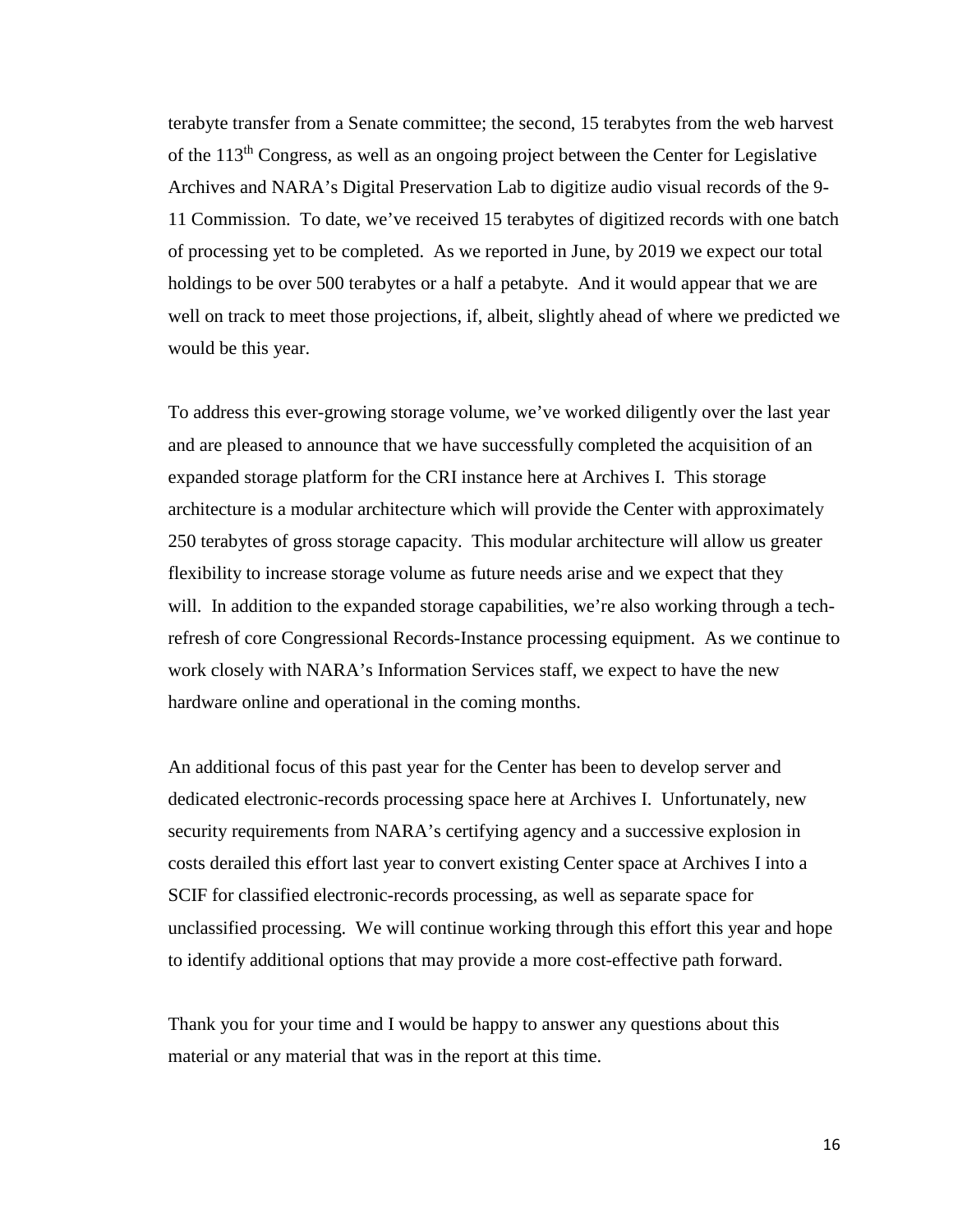terabyte transfer from a Senate committee; the second, 15 terabytes from the web harvest of the 113<sup>th</sup> Congress, as well as an ongoing project between the Center for Legislative Archives and NARA's Digital Preservation Lab to digitize audio visual records of the 9- 11 Commission. To date, we've received 15 terabytes of digitized records with one batch of processing yet to be completed. As we reported in June, by 2019 we expect our total holdings to be over 500 terabytes or a half a petabyte. And it would appear that we are well on track to meet those projections, if, albeit, slightly ahead of where we predicted we would be this year.

To address this ever-growing storage volume, we've worked diligently over the last year and are pleased to announce that we have successfully completed the acquisition of an expanded storage platform for the CRI instance here at Archives I. This storage architecture is a modular architecture which will provide the Center with approximately 250 terabytes of gross storage capacity. This modular architecture will allow us greater flexibility to increase storage volume as future needs arise and we expect that they will. In addition to the expanded storage capabilities, we're also working through a techrefresh of core Congressional Records-Instance processing equipment. As we continue to work closely with NARA's Information Services staff, we expect to have the new hardware online and operational in the coming months.

An additional focus of this past year for the Center has been to develop server and dedicated electronic-records processing space here at Archives I. Unfortunately, new security requirements from NARA's certifying agency and a successive explosion in costs derailed this effort last year to convert existing Center space at Archives I into a SCIF for classified electronic-records processing, as well as separate space for unclassified processing. We will continue working through this effort this year and hope to identify additional options that may provide a more cost-effective path forward.

Thank you for your time and I would be happy to answer any questions about this material or any material that was in the report at this time.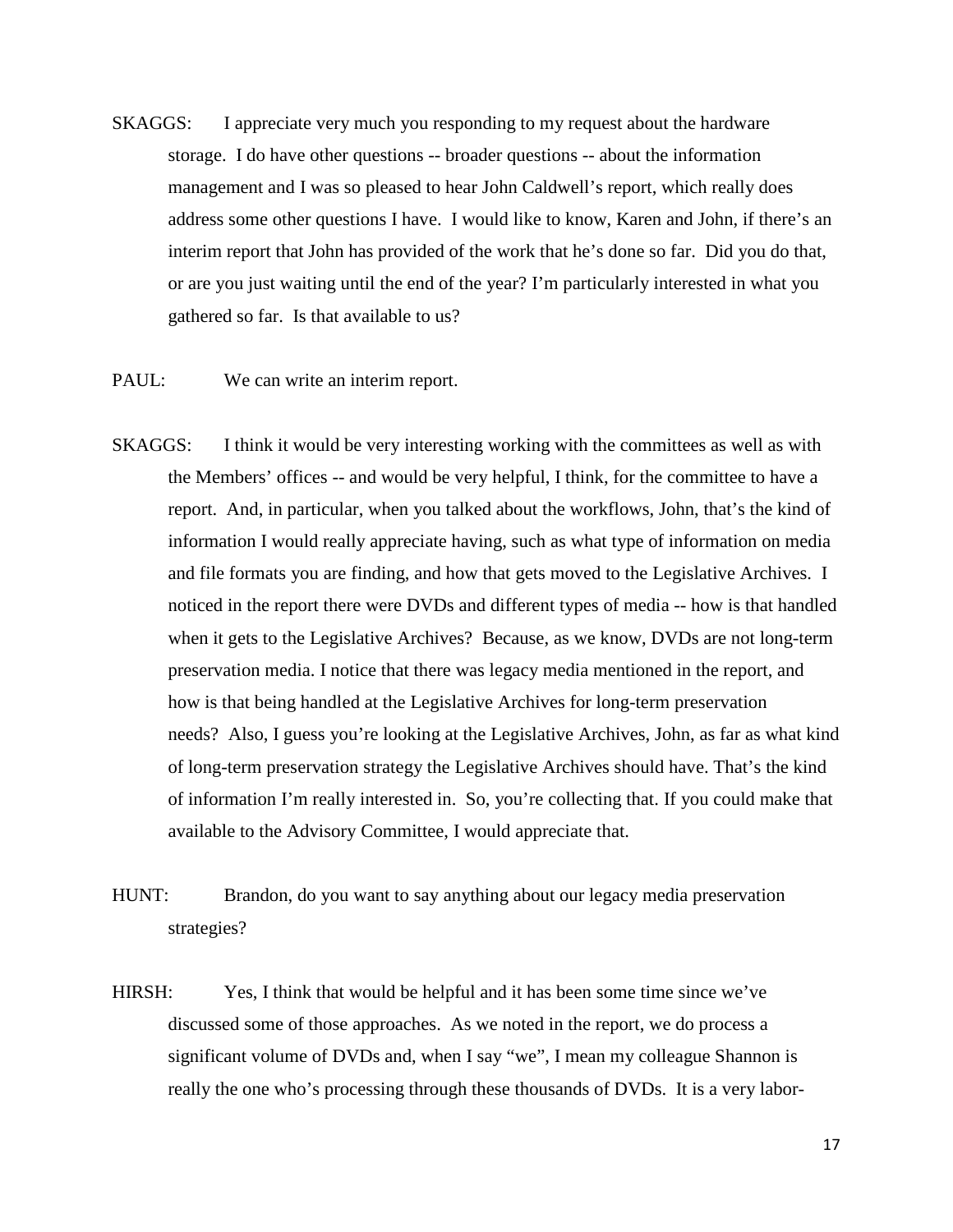- SKAGGS: I appreciate very much you responding to my request about the hardware storage. I do have other questions -- broader questions -- about the information management and I was so pleased to hear John Caldwell's report, which really does address some other questions I have. I would like to know, Karen and John, if there's an interim report that John has provided of the work that he's done so far. Did you do that, or are you just waiting until the end of the year? I'm particularly interested in what you gathered so far. Is that available to us?
- PAUL: We can write an interim report.
- SKAGGS: I think it would be very interesting working with the committees as well as with the Members' offices -- and would be very helpful, I think, for the committee to have a report. And, in particular, when you talked about the workflows, John, that's the kind of information I would really appreciate having, such as what type of information on media and file formats you are finding, and how that gets moved to the Legislative Archives. I noticed in the report there were DVDs and different types of media -- how is that handled when it gets to the Legislative Archives? Because, as we know, DVDs are not long-term preservation media. I notice that there was legacy media mentioned in the report, and how is that being handled at the Legislative Archives for long-term preservation needs? Also, I guess you're looking at the Legislative Archives, John, as far as what kind of long-term preservation strategy the Legislative Archives should have. That's the kind of information I'm really interested in. So, you're collecting that. If you could make that available to the Advisory Committee, I would appreciate that.
- HUNT: Brandon, do you want to say anything about our legacy media preservation strategies?
- HIRSH: Yes, I think that would be helpful and it has been some time since we've discussed some of those approaches. As we noted in the report, we do process a significant volume of DVDs and, when I say "we", I mean my colleague Shannon is really the one who's processing through these thousands of DVDs. It is a very labor-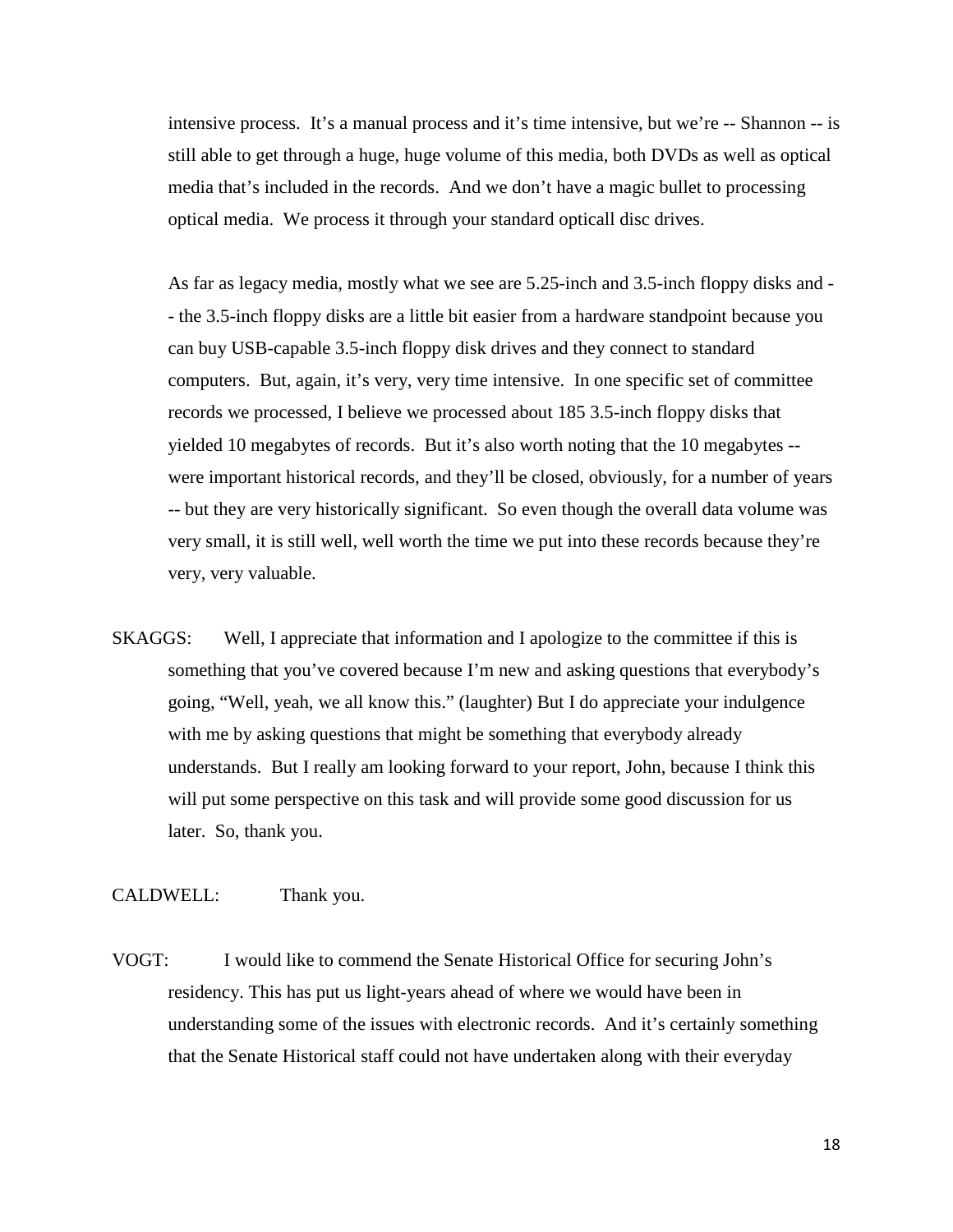intensive process. It's a manual process and it's time intensive, but we're -- Shannon -- is still able to get through a huge, huge volume of this media, both DVDs as well as optical media that's included in the records. And we don't have a magic bullet to processing optical media. We process it through your standard opticall disc drives.

As far as legacy media, mostly what we see are 5.25-inch and 3.5-inch floppy disks and - - the 3.5-inch floppy disks are a little bit easier from a hardware standpoint because you can buy USB-capable 3.5-inch floppy disk drives and they connect to standard computers. But, again, it's very, very time intensive. In one specific set of committee records we processed, I believe we processed about 185 3.5-inch floppy disks that yielded 10 megabytes of records. But it's also worth noting that the 10 megabytes - were important historical records, and they'll be closed, obviously, for a number of years -- but they are very historically significant. So even though the overall data volume was very small, it is still well, well worth the time we put into these records because they're very, very valuable.

SKAGGS: Well, I appreciate that information and I apologize to the committee if this is something that you've covered because I'm new and asking questions that everybody's going, "Well, yeah, we all know this." (laughter) But I do appreciate your indulgence with me by asking questions that might be something that everybody already understands. But I really am looking forward to your report, John, because I think this will put some perspective on this task and will provide some good discussion for us later. So, thank you.

## CALDWELL: Thank you.

VOGT: I would like to commend the Senate Historical Office for securing John's residency. This has put us light-years ahead of where we would have been in understanding some of the issues with electronic records. And it's certainly something that the Senate Historical staff could not have undertaken along with their everyday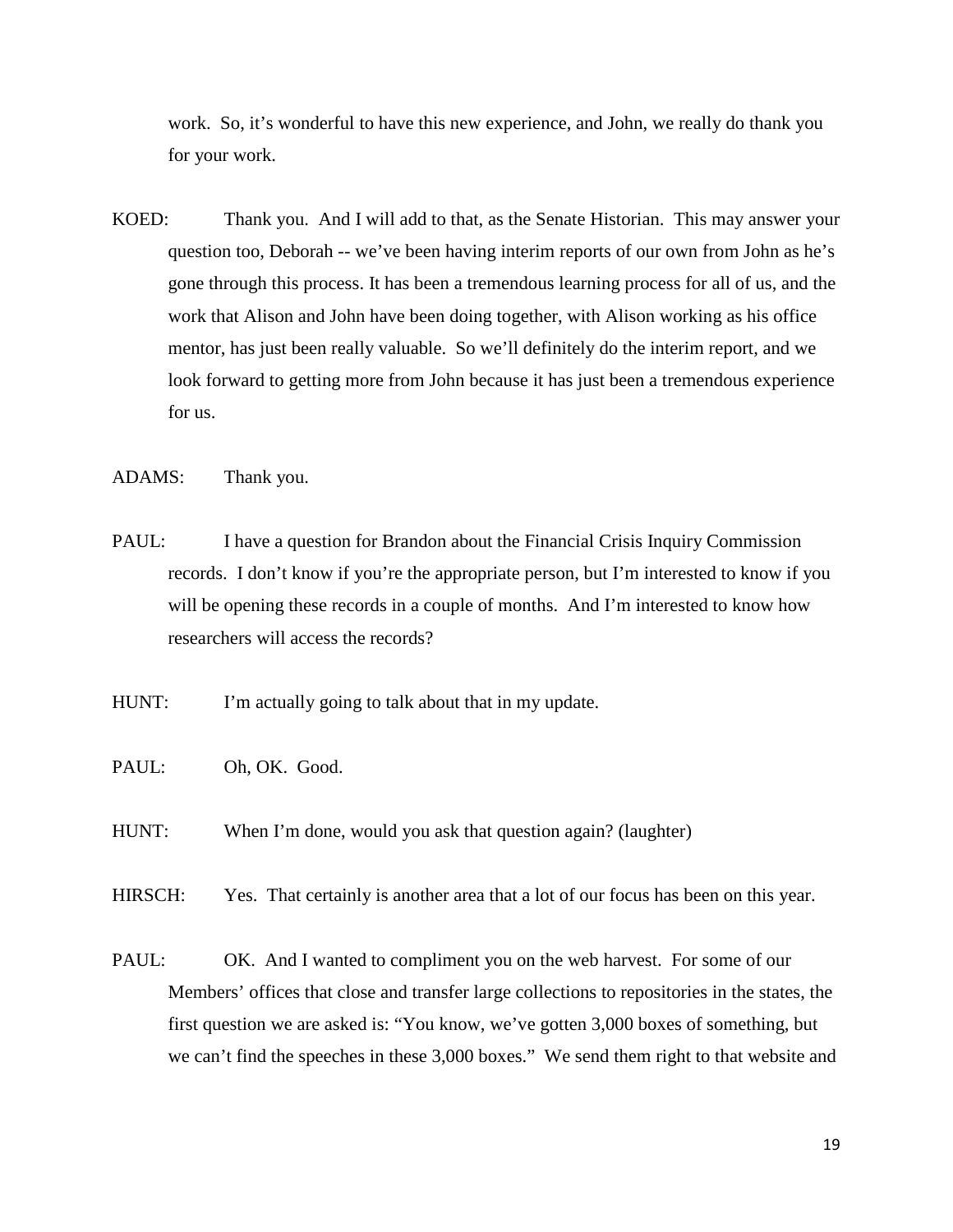work. So, it's wonderful to have this new experience, and John, we really do thank you for your work.

KOED: Thank you. And I will add to that, as the Senate Historian. This may answer your question too, Deborah -- we've been having interim reports of our own from John as he's gone through this process. It has been a tremendous learning process for all of us, and the work that Alison and John have been doing together, with Alison working as his office mentor, has just been really valuable. So we'll definitely do the interim report, and we look forward to getting more from John because it has just been a tremendous experience for us.

ADAMS: Thank you.

- PAUL: I have a question for Brandon about the Financial Crisis Inquiry Commission records. I don't know if you're the appropriate person, but I'm interested to know if you will be opening these records in a couple of months. And I'm interested to know how researchers will access the records?
- HUNT: I'm actually going to talk about that in my update.
- PAUL: Oh, OK. Good.
- HUNT: When I'm done, would you ask that question again? (laughter)

HIRSCH: Yes. That certainly is another area that a lot of our focus has been on this year.

PAUL: OK. And I wanted to compliment you on the web harvest. For some of our Members' offices that close and transfer large collections to repositories in the states, the first question we are asked is: "You know, we've gotten 3,000 boxes of something, but we can't find the speeches in these 3,000 boxes." We send them right to that website and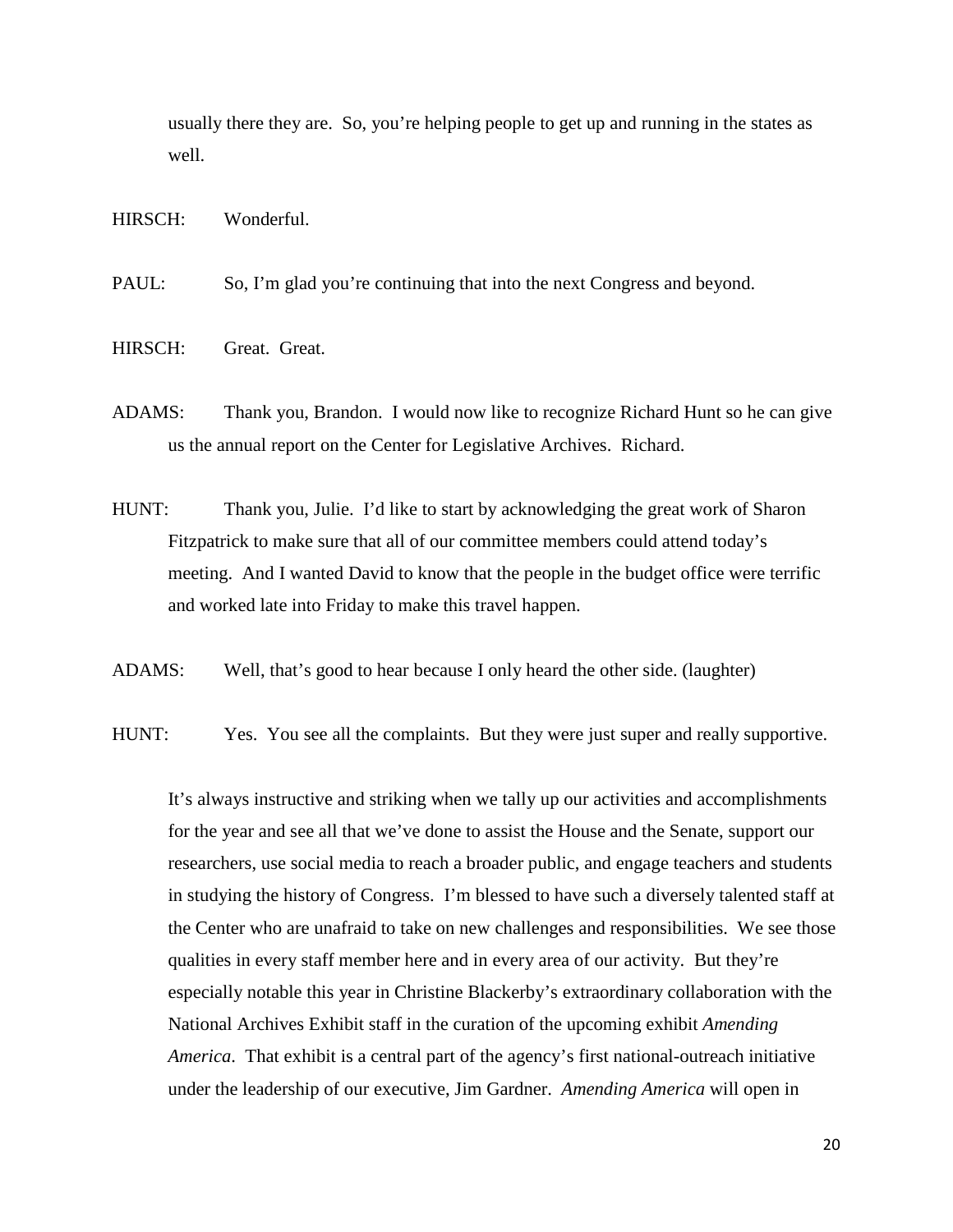usually there they are. So, you're helping people to get up and running in the states as well.

HIRSCH: Wonderful.

PAUL: So, I'm glad you're continuing that into the next Congress and beyond.

- HIRSCH: Great. Great.
- ADAMS: Thank you, Brandon. I would now like to recognize Richard Hunt so he can give us the annual report on the Center for Legislative Archives. Richard.
- HUNT: Thank you, Julie. I'd like to start by acknowledging the great work of Sharon Fitzpatrick to make sure that all of our committee members could attend today's meeting. And I wanted David to know that the people in the budget office were terrific and worked late into Friday to make this travel happen.
- ADAMS: Well, that's good to hear because I only heard the other side. (laughter)
- HUNT: Yes. You see all the complaints. But they were just super and really supportive.

It's always instructive and striking when we tally up our activities and accomplishments for the year and see all that we've done to assist the House and the Senate, support our researchers, use social media to reach a broader public, and engage teachers and students in studying the history of Congress. I'm blessed to have such a diversely talented staff at the Center who are unafraid to take on new challenges and responsibilities. We see those qualities in every staff member here and in every area of our activity. But they're especially notable this year in Christine Blackerby's extraordinary collaboration with the National Archives Exhibit staff in the curation of the upcoming exhibit *Amending America*. That exhibit is a central part of the agency's first national-outreach initiative under the leadership of our executive, Jim Gardner. *Amending America* will open in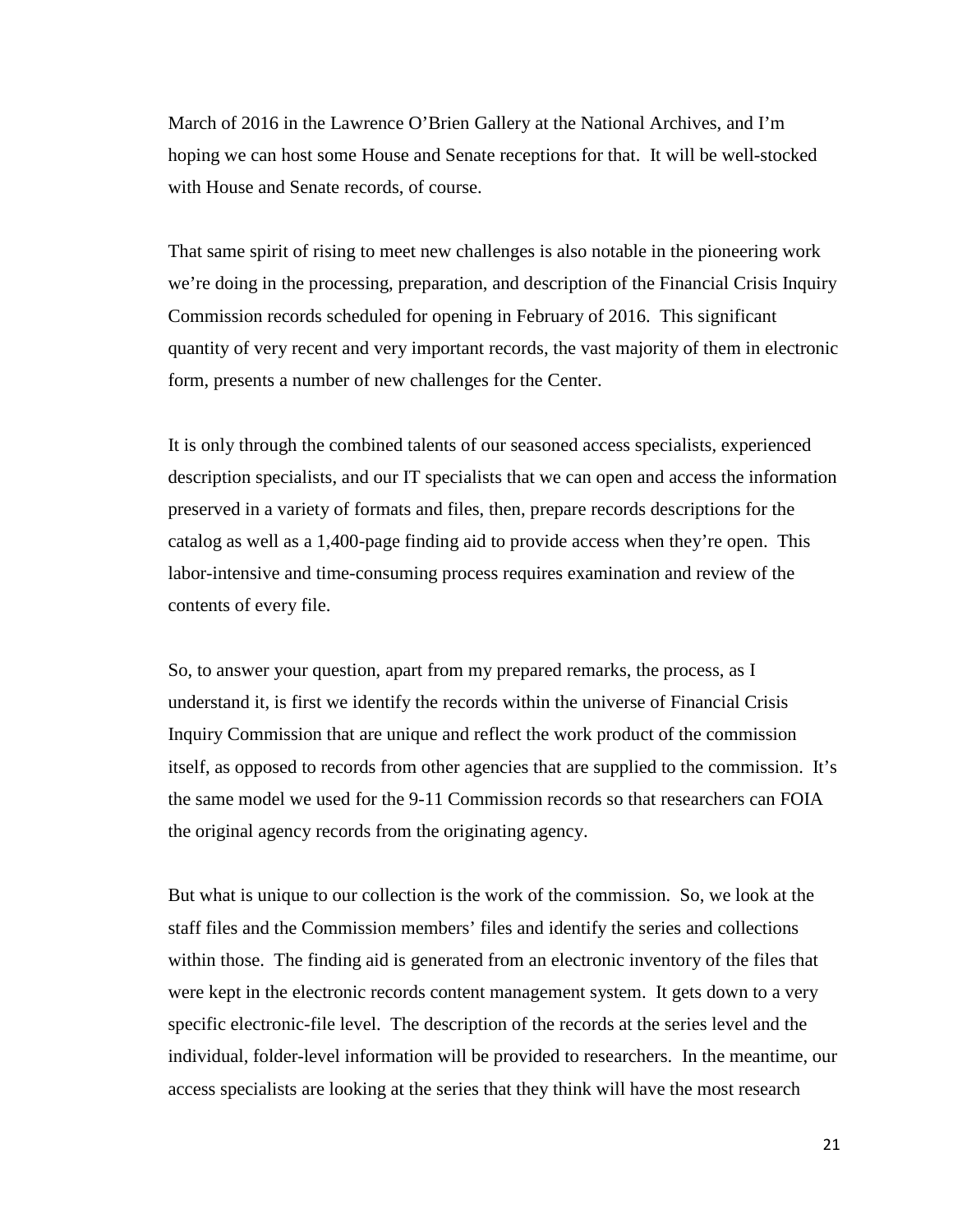March of 2016 in the Lawrence O'Brien Gallery at the National Archives, and I'm hoping we can host some House and Senate receptions for that. It will be well-stocked with House and Senate records, of course.

That same spirit of rising to meet new challenges is also notable in the pioneering work we're doing in the processing, preparation, and description of the Financial Crisis Inquiry Commission records scheduled for opening in February of 2016. This significant quantity of very recent and very important records, the vast majority of them in electronic form, presents a number of new challenges for the Center.

It is only through the combined talents of our seasoned access specialists, experienced description specialists, and our IT specialists that we can open and access the information preserved in a variety of formats and files, then, prepare records descriptions for the catalog as well as a 1,400-page finding aid to provide access when they're open. This labor-intensive and time-consuming process requires examination and review of the contents of every file.

So, to answer your question, apart from my prepared remarks, the process, as I understand it, is first we identify the records within the universe of Financial Crisis Inquiry Commission that are unique and reflect the work product of the commission itself, as opposed to records from other agencies that are supplied to the commission. It's the same model we used for the 9-11 Commission records so that researchers can FOIA the original agency records from the originating agency.

But what is unique to our collection is the work of the commission. So, we look at the staff files and the Commission members' files and identify the series and collections within those. The finding aid is generated from an electronic inventory of the files that were kept in the electronic records content management system. It gets down to a very specific electronic-file level. The description of the records at the series level and the individual, folder-level information will be provided to researchers. In the meantime, our access specialists are looking at the series that they think will have the most research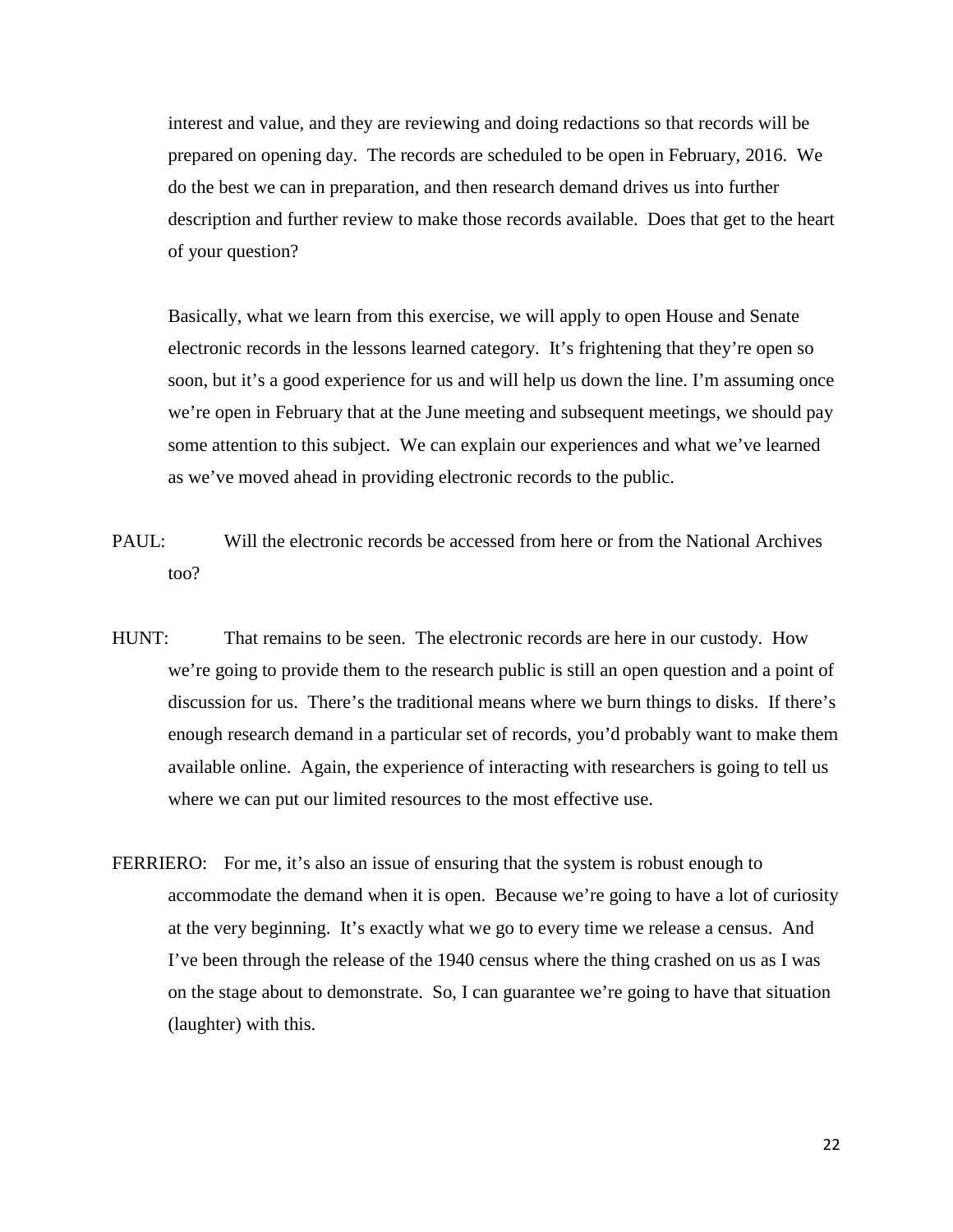interest and value, and they are reviewing and doing redactions so that records will be prepared on opening day. The records are scheduled to be open in February, 2016. We do the best we can in preparation, and then research demand drives us into further description and further review to make those records available. Does that get to the heart of your question?

Basically, what we learn from this exercise, we will apply to open House and Senate electronic records in the lessons learned category. It's frightening that they're open so soon, but it's a good experience for us and will help us down the line. I'm assuming once we're open in February that at the June meeting and subsequent meetings, we should pay some attention to this subject. We can explain our experiences and what we've learned as we've moved ahead in providing electronic records to the public.

- PAUL: Will the electronic records be accessed from here or from the National Archives too?
- HUNT: That remains to be seen. The electronic records are here in our custody. How we're going to provide them to the research public is still an open question and a point of discussion for us. There's the traditional means where we burn things to disks. If there's enough research demand in a particular set of records, you'd probably want to make them available online. Again, the experience of interacting with researchers is going to tell us where we can put our limited resources to the most effective use.
- FERRIERO: For me, it's also an issue of ensuring that the system is robust enough to accommodate the demand when it is open. Because we're going to have a lot of curiosity at the very beginning. It's exactly what we go to every time we release a census. And I've been through the release of the 1940 census where the thing crashed on us as I was on the stage about to demonstrate. So, I can guarantee we're going to have that situation (laughter) with this.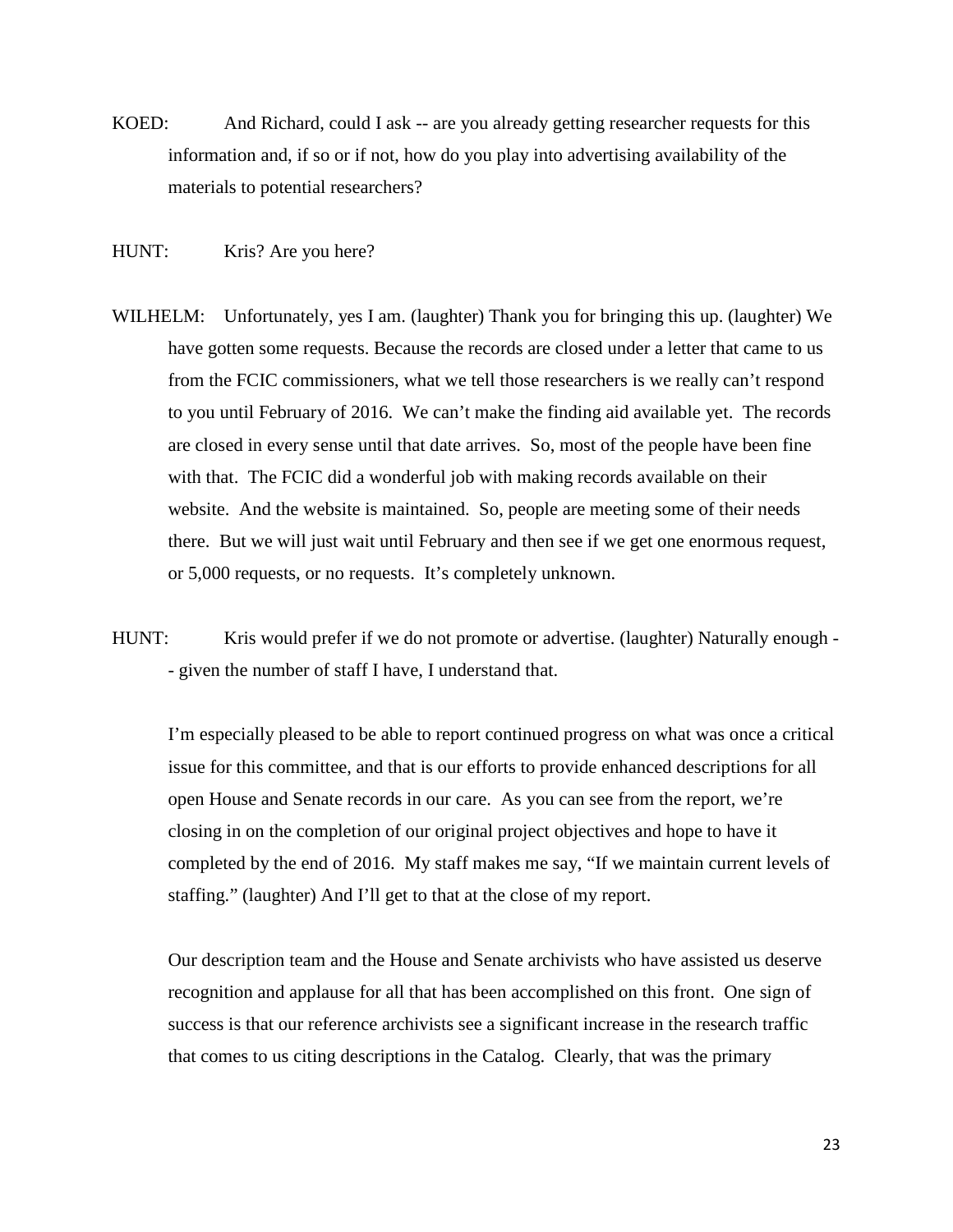- KOED: And Richard, could I ask -- are you already getting researcher requests for this information and, if so or if not, how do you play into advertising availability of the materials to potential researchers?
- HUNT: Kris? Are you here?
- WILHELM: Unfortunately, yes I am. (laughter) Thank you for bringing this up. (laughter) We have gotten some requests. Because the records are closed under a letter that came to us from the FCIC commissioners, what we tell those researchers is we really can't respond to you until February of 2016. We can't make the finding aid available yet. The records are closed in every sense until that date arrives. So, most of the people have been fine with that. The FCIC did a wonderful job with making records available on their website. And the website is maintained. So, people are meeting some of their needs there. But we will just wait until February and then see if we get one enormous request, or 5,000 requests, or no requests. It's completely unknown.
- HUNT: Kris would prefer if we do not promote or advertise. (laughter) Naturally enough -- given the number of staff I have, I understand that.

I'm especially pleased to be able to report continued progress on what was once a critical issue for this committee, and that is our efforts to provide enhanced descriptions for all open House and Senate records in our care. As you can see from the report, we're closing in on the completion of our original project objectives and hope to have it completed by the end of 2016. My staff makes me say, "If we maintain current levels of staffing." (laughter) And I'll get to that at the close of my report.

Our description team and the House and Senate archivists who have assisted us deserve recognition and applause for all that has been accomplished on this front. One sign of success is that our reference archivists see a significant increase in the research traffic that comes to us citing descriptions in the Catalog. Clearly, that was the primary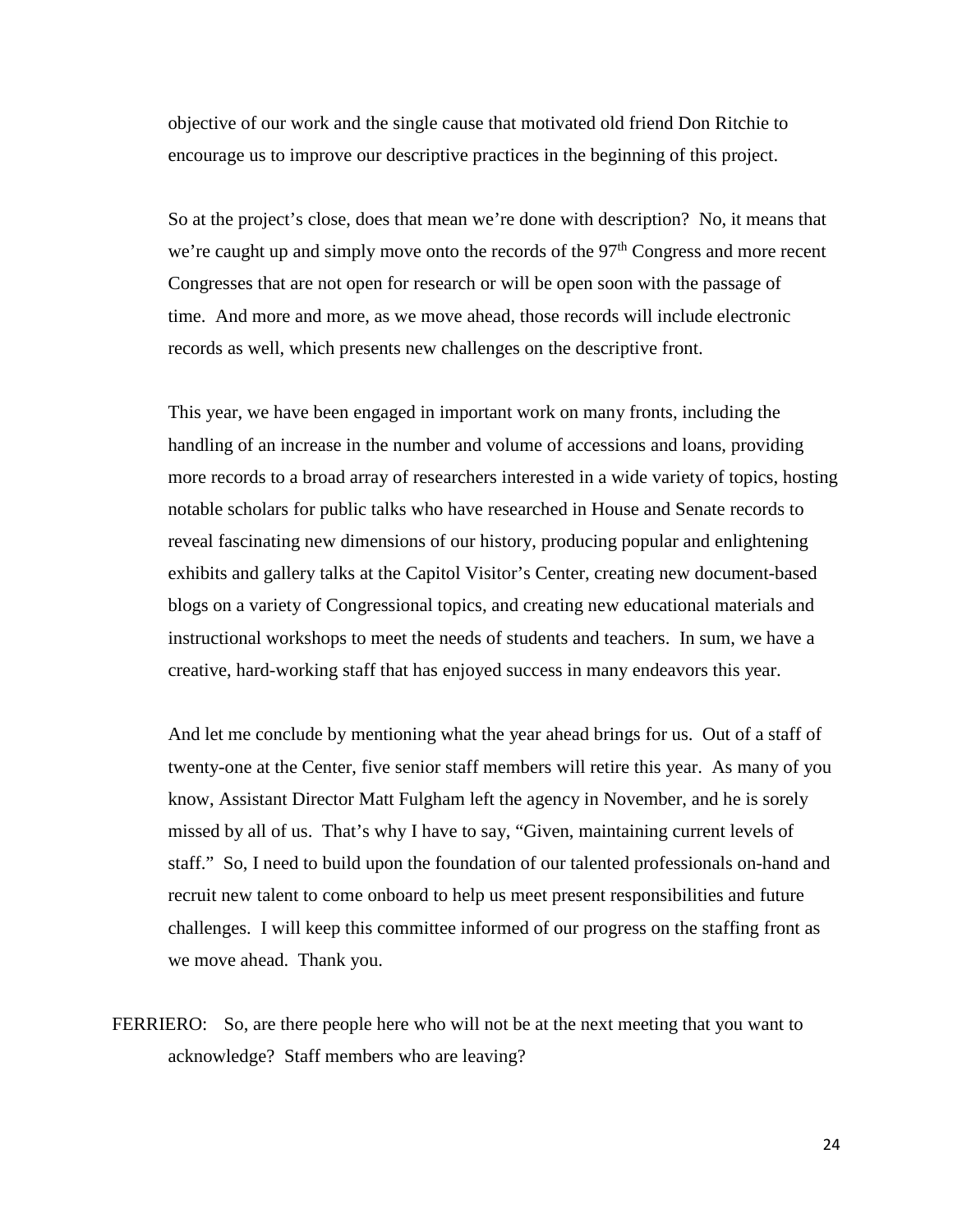objective of our work and the single cause that motivated old friend Don Ritchie to encourage us to improve our descriptive practices in the beginning of this project.

So at the project's close, does that mean we're done with description? No, it means that we're caught up and simply move onto the records of the  $97<sup>th</sup>$  Congress and more recent Congresses that are not open for research or will be open soon with the passage of time. And more and more, as we move ahead, those records will include electronic records as well, which presents new challenges on the descriptive front.

This year, we have been engaged in important work on many fronts, including the handling of an increase in the number and volume of accessions and loans, providing more records to a broad array of researchers interested in a wide variety of topics, hosting notable scholars for public talks who have researched in House and Senate records to reveal fascinating new dimensions of our history, producing popular and enlightening exhibits and gallery talks at the Capitol Visitor's Center, creating new document-based blogs on a variety of Congressional topics, and creating new educational materials and instructional workshops to meet the needs of students and teachers. In sum, we have a creative, hard-working staff that has enjoyed success in many endeavors this year.

And let me conclude by mentioning what the year ahead brings for us. Out of a staff of twenty-one at the Center, five senior staff members will retire this year. As many of you know, Assistant Director Matt Fulgham left the agency in November, and he is sorely missed by all of us. That's why I have to say, "Given, maintaining current levels of staff." So, I need to build upon the foundation of our talented professionals on-hand and recruit new talent to come onboard to help us meet present responsibilities and future challenges. I will keep this committee informed of our progress on the staffing front as we move ahead. Thank you.

FERRIERO: So, are there people here who will not be at the next meeting that you want to acknowledge? Staff members who are leaving?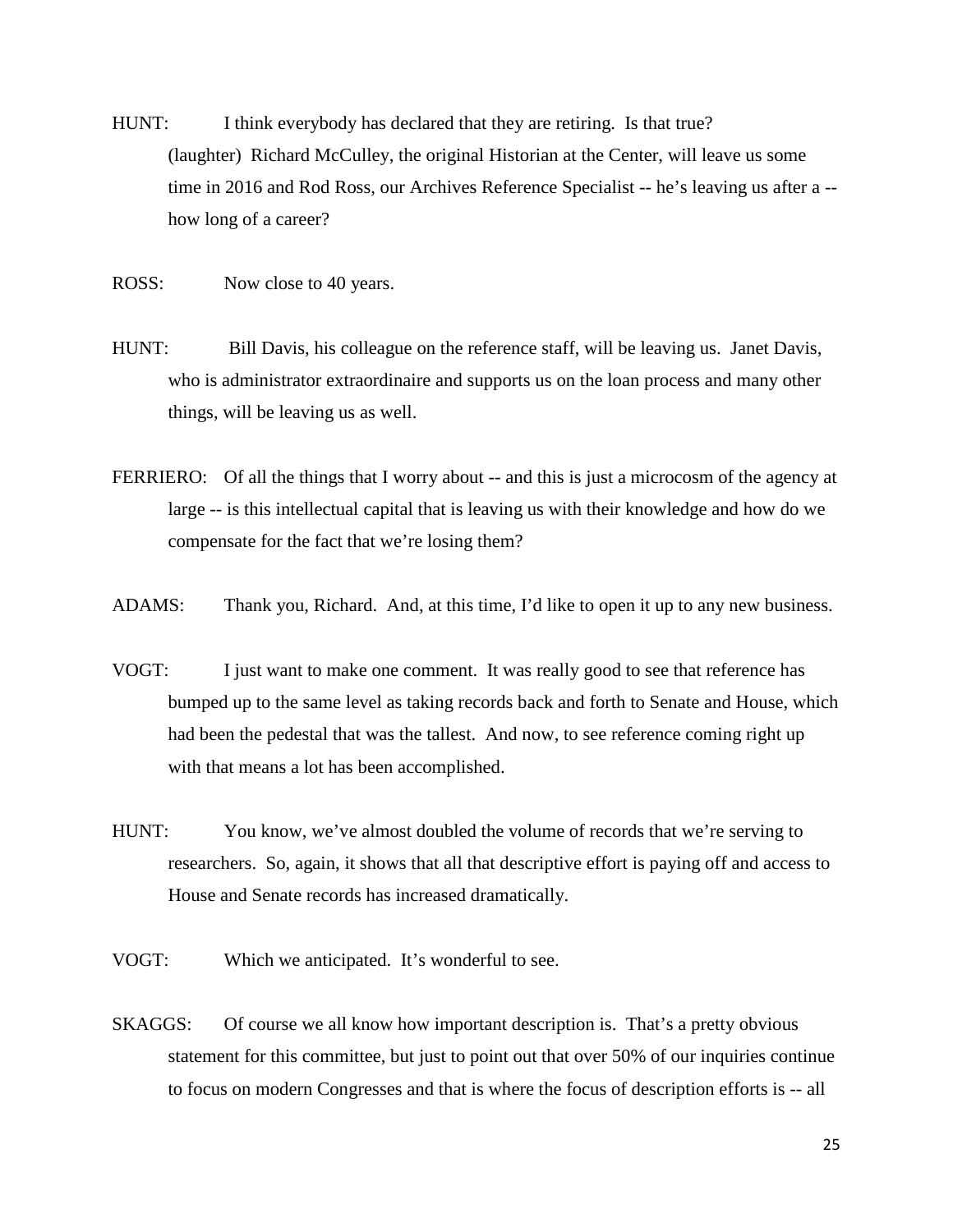- HUNT: I think everybody has declared that they are retiring. Is that true? (laughter) Richard McCulley, the original Historian at the Center, will leave us some time in 2016 and Rod Ross, our Archives Reference Specialist -- he's leaving us after a - how long of a career?
- ROSS: Now close to 40 years.
- HUNT: Bill Davis, his colleague on the reference staff, will be leaving us. Janet Davis, who is administrator extraordinaire and supports us on the loan process and many other things, will be leaving us as well.
- FERRIERO: Of all the things that I worry about -- and this is just a microcosm of the agency at large -- is this intellectual capital that is leaving us with their knowledge and how do we compensate for the fact that we're losing them?
- ADAMS: Thank you, Richard. And, at this time, I'd like to open it up to any new business.
- VOGT: I just want to make one comment. It was really good to see that reference has bumped up to the same level as taking records back and forth to Senate and House, which had been the pedestal that was the tallest. And now, to see reference coming right up with that means a lot has been accomplished.
- HUNT: You know, we've almost doubled the volume of records that we're serving to researchers. So, again, it shows that all that descriptive effort is paying off and access to House and Senate records has increased dramatically.
- VOGT: Which we anticipated. It's wonderful to see.
- SKAGGS: Of course we all know how important description is. That's a pretty obvious statement for this committee, but just to point out that over 50% of our inquiries continue to focus on modern Congresses and that is where the focus of description efforts is -- all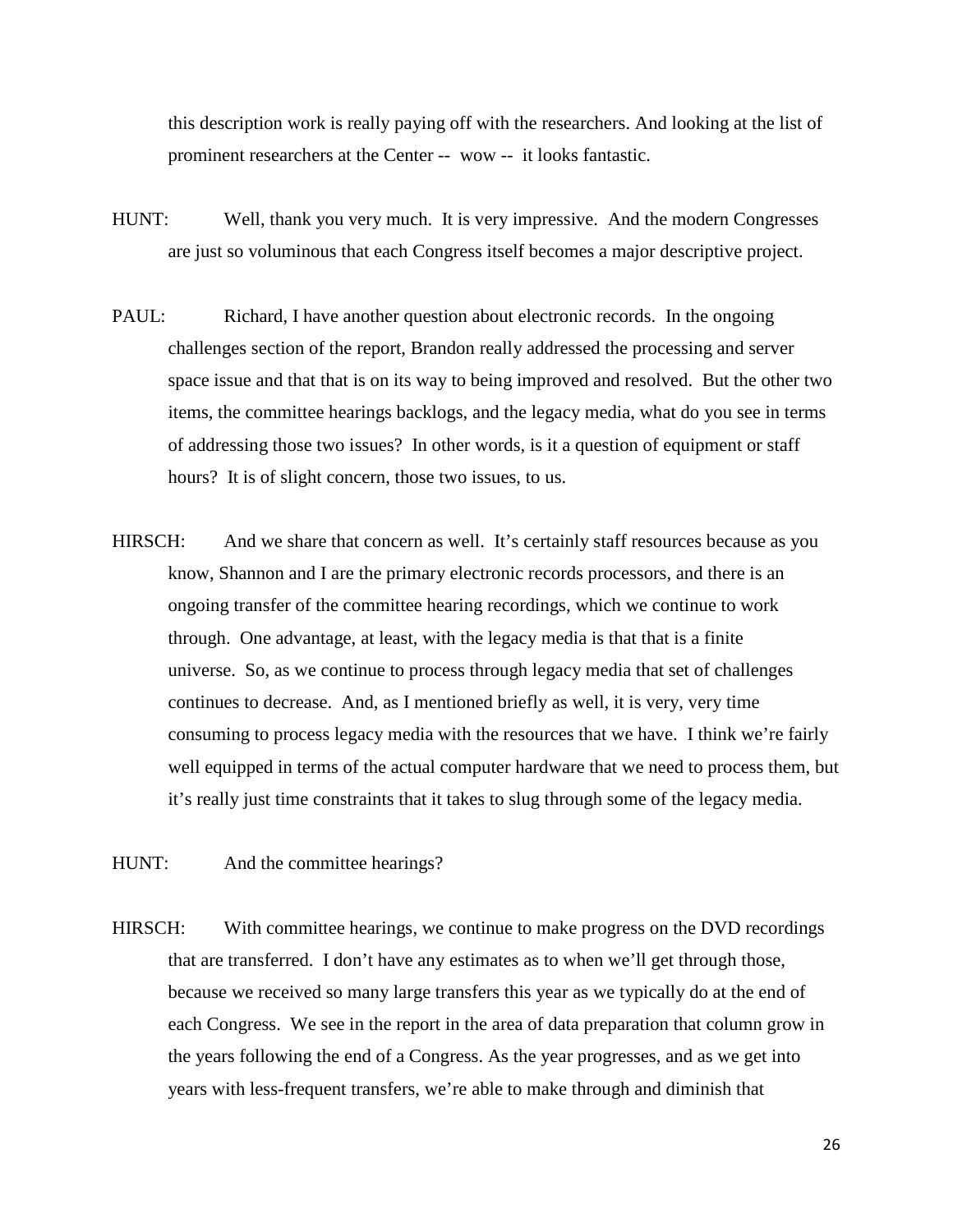this description work is really paying off with the researchers. And looking at the list of prominent researchers at the Center -- wow -- it looks fantastic.

- HUNT: Well, thank you very much. It is very impressive. And the modern Congresses are just so voluminous that each Congress itself becomes a major descriptive project.
- PAUL: Richard, I have another question about electronic records. In the ongoing challenges section of the report, Brandon really addressed the processing and server space issue and that that is on its way to being improved and resolved. But the other two items, the committee hearings backlogs, and the legacy media, what do you see in terms of addressing those two issues? In other words, is it a question of equipment or staff hours? It is of slight concern, those two issues, to us.
- HIRSCH: And we share that concern as well. It's certainly staff resources because as you know, Shannon and I are the primary electronic records processors, and there is an ongoing transfer of the committee hearing recordings, which we continue to work through. One advantage, at least, with the legacy media is that that is a finite universe. So, as we continue to process through legacy media that set of challenges continues to decrease. And, as I mentioned briefly as well, it is very, very time consuming to process legacy media with the resources that we have. I think we're fairly well equipped in terms of the actual computer hardware that we need to process them, but it's really just time constraints that it takes to slug through some of the legacy media.
- HUNT: And the committee hearings?
- HIRSCH: With committee hearings, we continue to make progress on the DVD recordings that are transferred. I don't have any estimates as to when we'll get through those, because we received so many large transfers this year as we typically do at the end of each Congress. We see in the report in the area of data preparation that column grow in the years following the end of a Congress. As the year progresses, and as we get into years with less-frequent transfers, we're able to make through and diminish that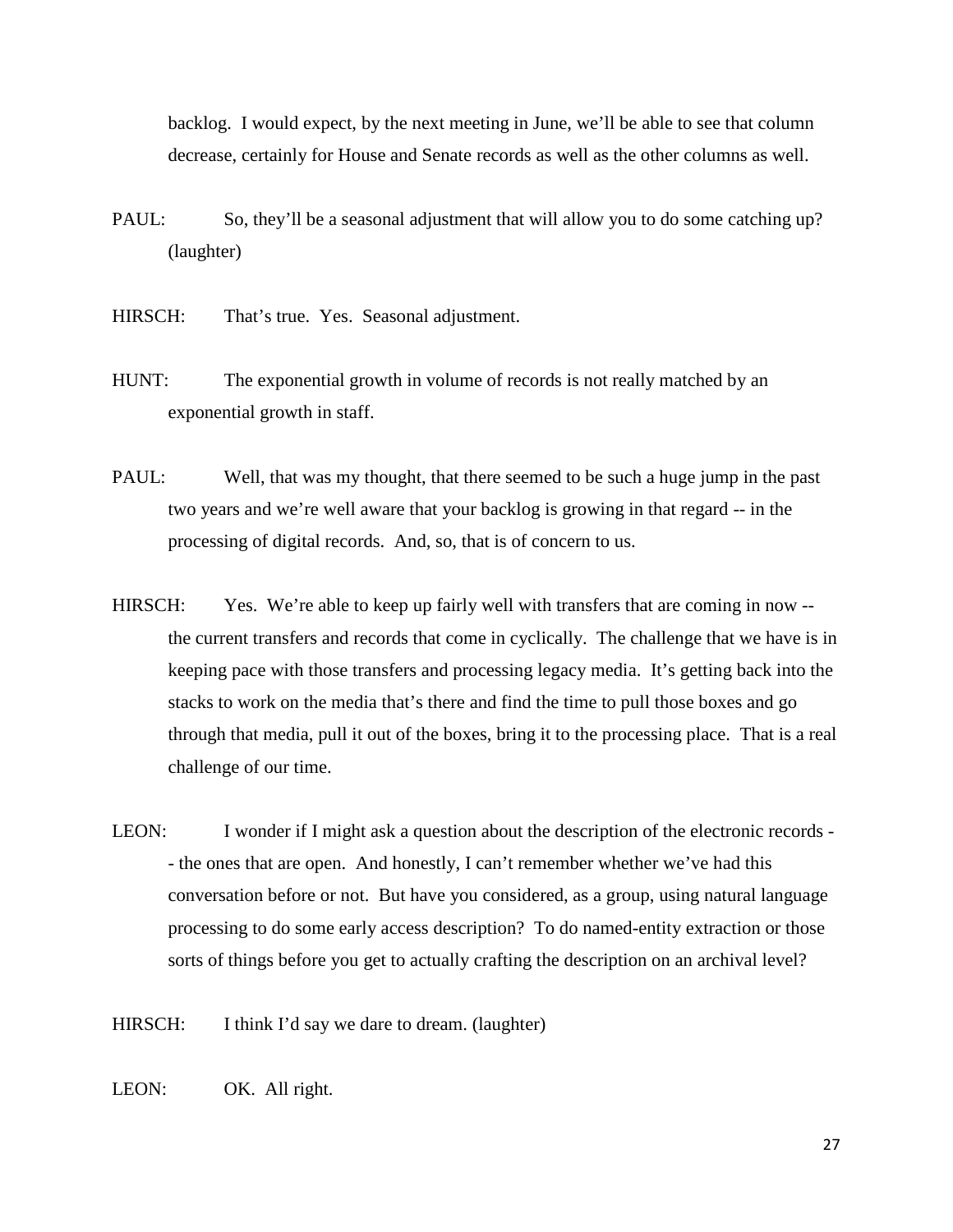backlog. I would expect, by the next meeting in June, we'll be able to see that column decrease, certainly for House and Senate records as well as the other columns as well.

- PAUL: So, they'll be a seasonal adjustment that will allow you to do some catching up? (laughter)
- HIRSCH: That's true. Yes. Seasonal adjustment.
- HUNT: The exponential growth in volume of records is not really matched by an exponential growth in staff.
- PAUL: Well, that was my thought, that there seemed to be such a huge jump in the past two years and we're well aware that your backlog is growing in that regard -- in the processing of digital records. And, so, that is of concern to us.
- HIRSCH: Yes. We're able to keep up fairly well with transfers that are coming in now -the current transfers and records that come in cyclically. The challenge that we have is in keeping pace with those transfers and processing legacy media. It's getting back into the stacks to work on the media that's there and find the time to pull those boxes and go through that media, pull it out of the boxes, bring it to the processing place. That is a real challenge of our time.
- LEON: I wonder if I might ask a question about the description of the electronic records - the ones that are open. And honestly, I can't remember whether we've had this conversation before or not. But have you considered, as a group, using natural language processing to do some early access description? To do named-entity extraction or those sorts of things before you get to actually crafting the description on an archival level?
- HIRSCH: I think I'd say we dare to dream. (laughter)
- LEON: OK. All right.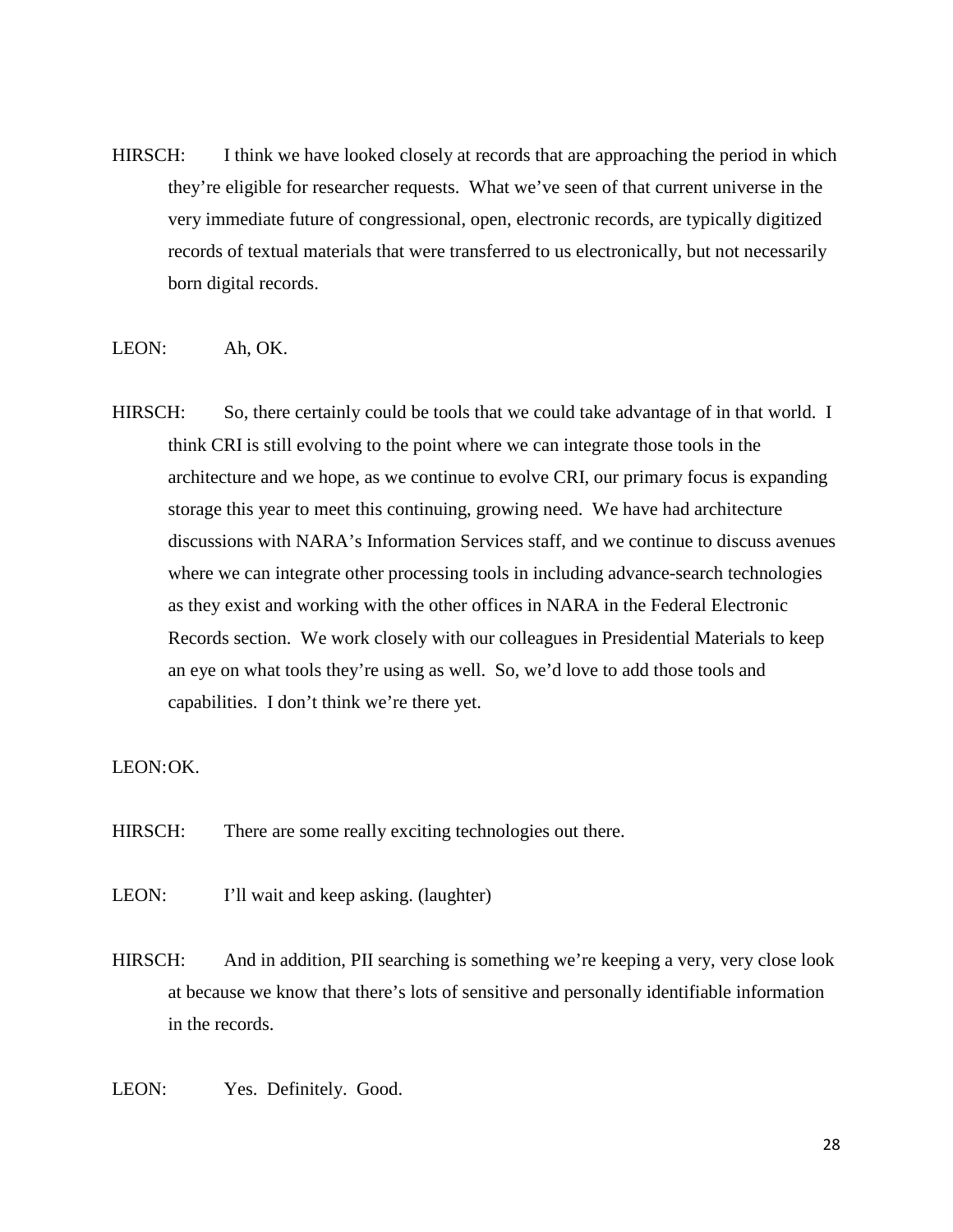HIRSCH: I think we have looked closely at records that are approaching the period in which they're eligible for researcher requests. What we've seen of that current universe in the very immediate future of congressional, open, electronic records, are typically digitized records of textual materials that were transferred to us electronically, but not necessarily born digital records.

## LEON: Ah, OK.

HIRSCH: So, there certainly could be tools that we could take advantage of in that world. I think CRI is still evolving to the point where we can integrate those tools in the architecture and we hope, as we continue to evolve CRI, our primary focus is expanding storage this year to meet this continuing, growing need. We have had architecture discussions with NARA's Information Services staff, and we continue to discuss avenues where we can integrate other processing tools in including advance-search technologies as they exist and working with the other offices in NARA in the Federal Electronic Records section. We work closely with our colleagues in Presidential Materials to keep an eye on what tools they're using as well. So, we'd love to add those tools and capabilities. I don't think we're there yet.

## LEON:OK.

- HIRSCH: There are some really exciting technologies out there.
- LEON: I'll wait and keep asking. (laughter)
- HIRSCH: And in addition, PII searching is something we're keeping a very, very close look at because we know that there's lots of sensitive and personally identifiable information in the records.
- LEON: Yes. Definitely. Good.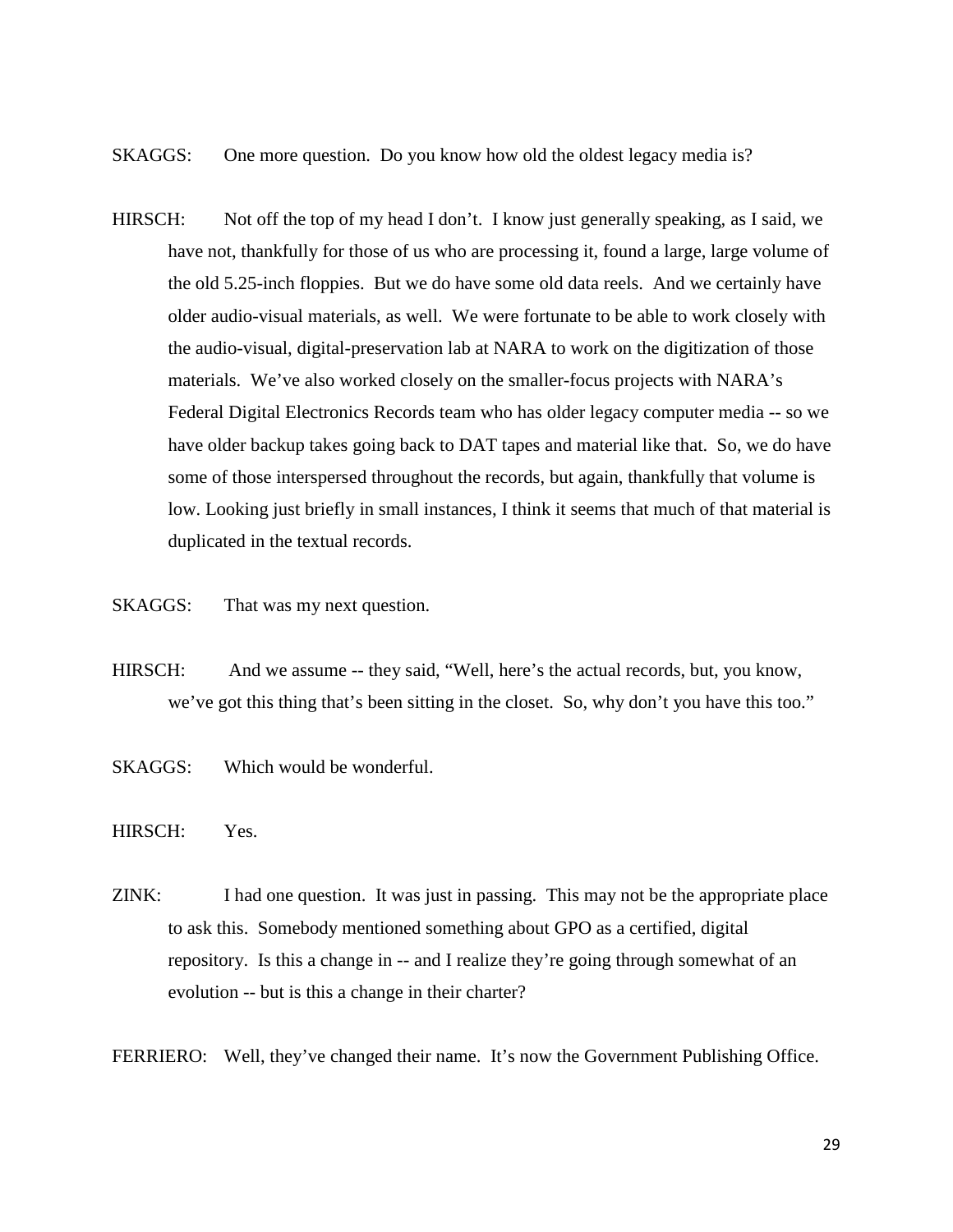- SKAGGS: One more question. Do you know how old the oldest legacy media is?
- HIRSCH: Not off the top of my head I don't. I know just generally speaking, as I said, we have not, thankfully for those of us who are processing it, found a large, large volume of the old 5.25-inch floppies. But we do have some old data reels. And we certainly have older audio-visual materials, as well. We were fortunate to be able to work closely with the audio-visual, digital-preservation lab at NARA to work on the digitization of those materials. We've also worked closely on the smaller-focus projects with NARA's Federal Digital Electronics Records team who has older legacy computer media -- so we have older backup takes going back to DAT tapes and material like that. So, we do have some of those interspersed throughout the records, but again, thankfully that volume is low. Looking just briefly in small instances, I think it seems that much of that material is duplicated in the textual records.
- SKAGGS: That was my next question.
- HIRSCH: And we assume -- they said, "Well, here's the actual records, but, you know, we've got this thing that's been sitting in the closet. So, why don't you have this too."
- SKAGGS: Which would be wonderful.
- HIRSCH: Yes.
- ZINK: I had one question. It was just in passing. This may not be the appropriate place to ask this. Somebody mentioned something about GPO as a certified, digital repository. Is this a change in -- and I realize they're going through somewhat of an evolution -- but is this a change in their charter?
- FERRIERO: Well, they've changed their name. It's now the Government Publishing Office.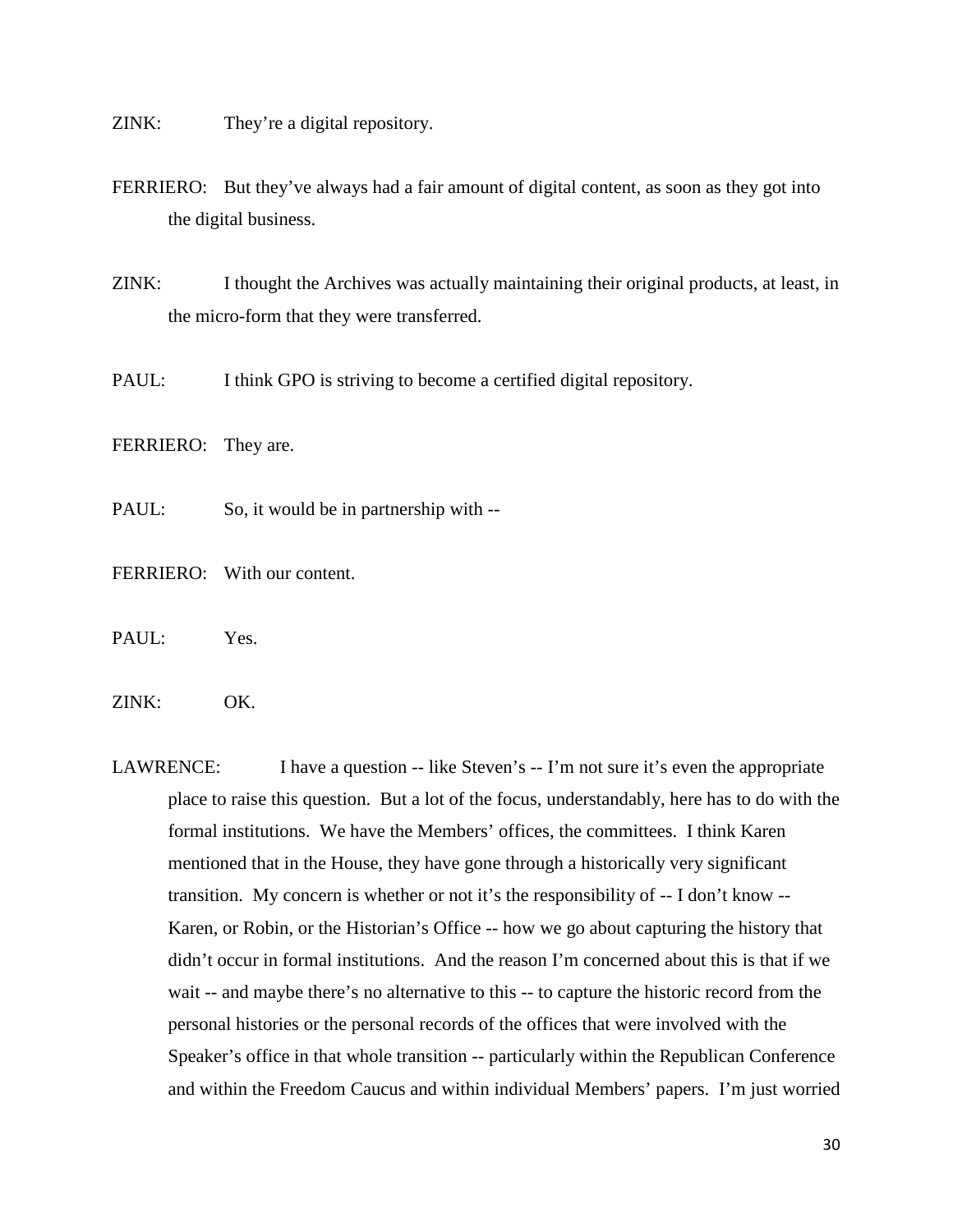ZINK: They're a digital repository.

FERRIERO: But they've always had a fair amount of digital content, as soon as they got into the digital business.

ZINK: I thought the Archives was actually maintaining their original products, at least, in the micro-form that they were transferred.

PAUL: I think GPO is striving to become a certified digital repository.

FERRIERO: They are.

PAUL: So, it would be in partnership with --

FERRIERO: With our content.

PAUL: Yes.

ZINK: OK.

LAWRENCE: I have a question -- like Steven's -- I'm not sure it's even the appropriate place to raise this question. But a lot of the focus, understandably, here has to do with the formal institutions. We have the Members' offices, the committees. I think Karen mentioned that in the House, they have gone through a historically very significant transition. My concern is whether or not it's the responsibility of -- I don't know -- Karen, or Robin, or the Historian's Office -- how we go about capturing the history that didn't occur in formal institutions. And the reason I'm concerned about this is that if we wait -- and maybe there's no alternative to this -- to capture the historic record from the personal histories or the personal records of the offices that were involved with the Speaker's office in that whole transition -- particularly within the Republican Conference and within the Freedom Caucus and within individual Members' papers. I'm just worried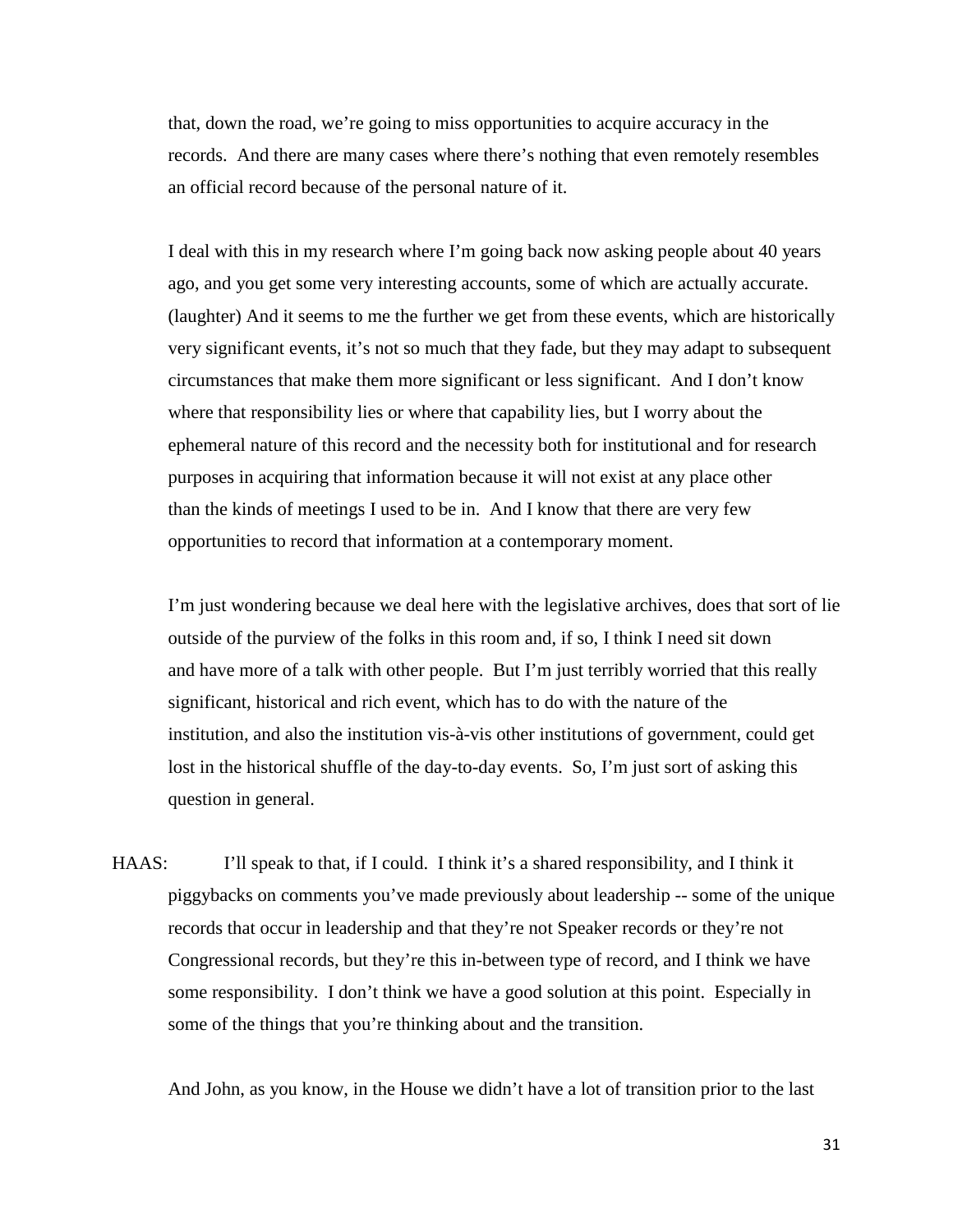that, down the road, we're going to miss opportunities to acquire accuracy in the records. And there are many cases where there's nothing that even remotely resembles an official record because of the personal nature of it.

I deal with this in my research where I'm going back now asking people about 40 years ago, and you get some very interesting accounts, some of which are actually accurate. (laughter) And it seems to me the further we get from these events, which are historically very significant events, it's not so much that they fade, but they may adapt to subsequent circumstances that make them more significant or less significant. And I don't know where that responsibility lies or where that capability lies, but I worry about the ephemeral nature of this record and the necessity both for institutional and for research purposes in acquiring that information because it will not exist at any place other than the kinds of meetings I used to be in. And I know that there are very few opportunities to record that information at a contemporary moment.

I'm just wondering because we deal here with the legislative archives, does that sort of lie outside of the purview of the folks in this room and, if so, I think I need sit down and have more of a talk with other people. But I'm just terribly worried that this really significant, historical and rich event, which has to do with the nature of the institution, and also the institution vis-à-vis other institutions of government, could get lost in the historical shuffle of the day-to-day events. So, I'm just sort of asking this question in general.

HAAS: I'll speak to that, if I could. I think it's a shared responsibility, and I think it piggybacks on comments you've made previously about leadership -- some of the unique records that occur in leadership and that they're not Speaker records or they're not Congressional records, but they're this in-between type of record, and I think we have some responsibility. I don't think we have a good solution at this point. Especially in some of the things that you're thinking about and the transition.

And John, as you know, in the House we didn't have a lot of transition prior to the last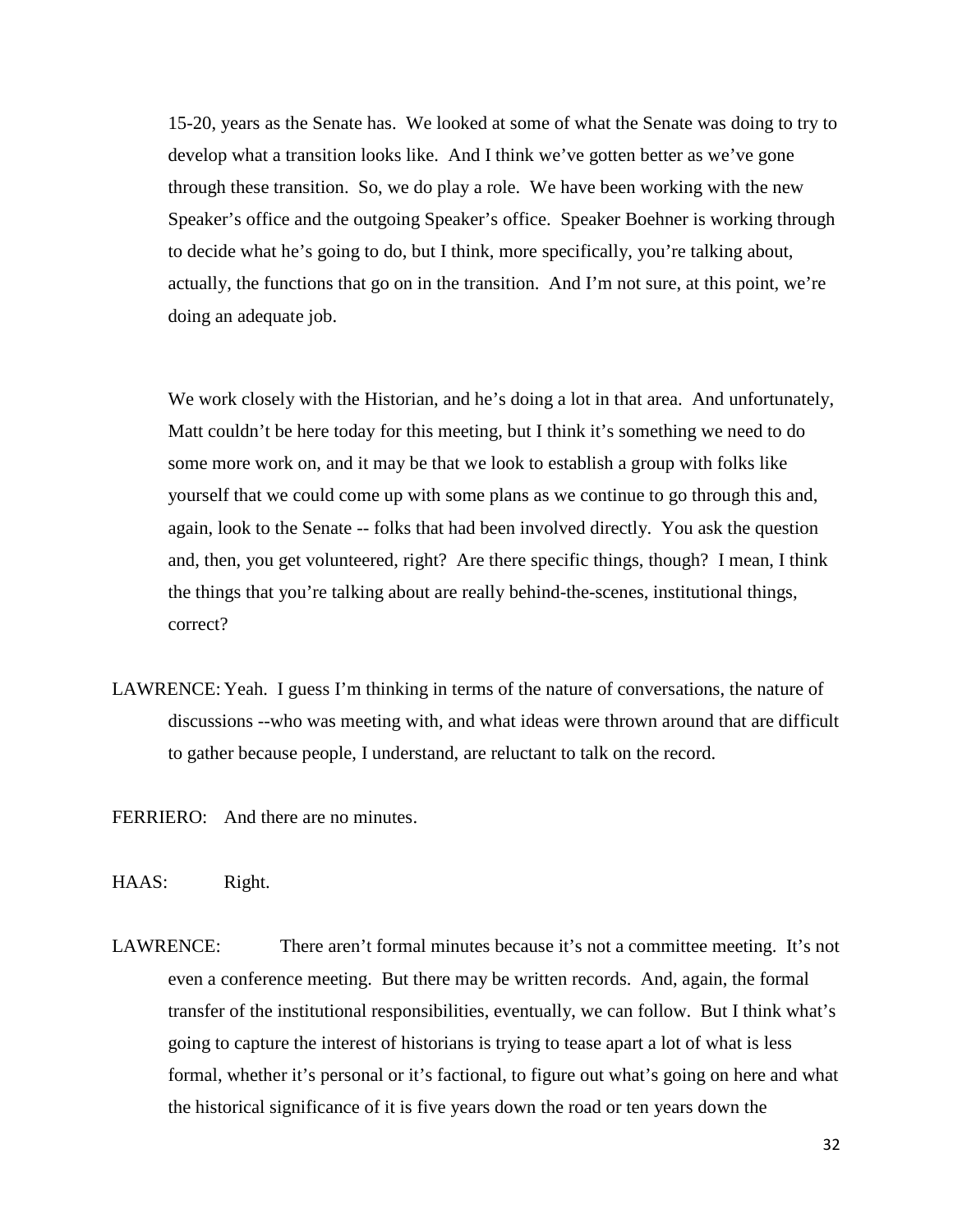15-20, years as the Senate has. We looked at some of what the Senate was doing to try to develop what a transition looks like. And I think we've gotten better as we've gone through these transition. So, we do play a role. We have been working with the new Speaker's office and the outgoing Speaker's office. Speaker Boehner is working through to decide what he's going to do, but I think, more specifically, you're talking about, actually, the functions that go on in the transition. And I'm not sure, at this point, we're doing an adequate job.

We work closely with the Historian, and he's doing a lot in that area. And unfortunately, Matt couldn't be here today for this meeting, but I think it's something we need to do some more work on, and it may be that we look to establish a group with folks like yourself that we could come up with some plans as we continue to go through this and, again, look to the Senate -- folks that had been involved directly. You ask the question and, then, you get volunteered, right? Are there specific things, though? I mean, I think the things that you're talking about are really behind-the-scenes, institutional things, correct?

- LAWRENCE: Yeah. I guess I'm thinking in terms of the nature of conversations, the nature of discussions --who was meeting with, and what ideas were thrown around that are difficult to gather because people, I understand, are reluctant to talk on the record.
- FERRIERO: And there are no minutes.
- HAAS: Right.
- LAWRENCE: There aren't formal minutes because it's not a committee meeting. It's not even a conference meeting. But there may be written records. And, again, the formal transfer of the institutional responsibilities, eventually, we can follow. But I think what's going to capture the interest of historians is trying to tease apart a lot of what is less formal, whether it's personal or it's factional, to figure out what's going on here and what the historical significance of it is five years down the road or ten years down the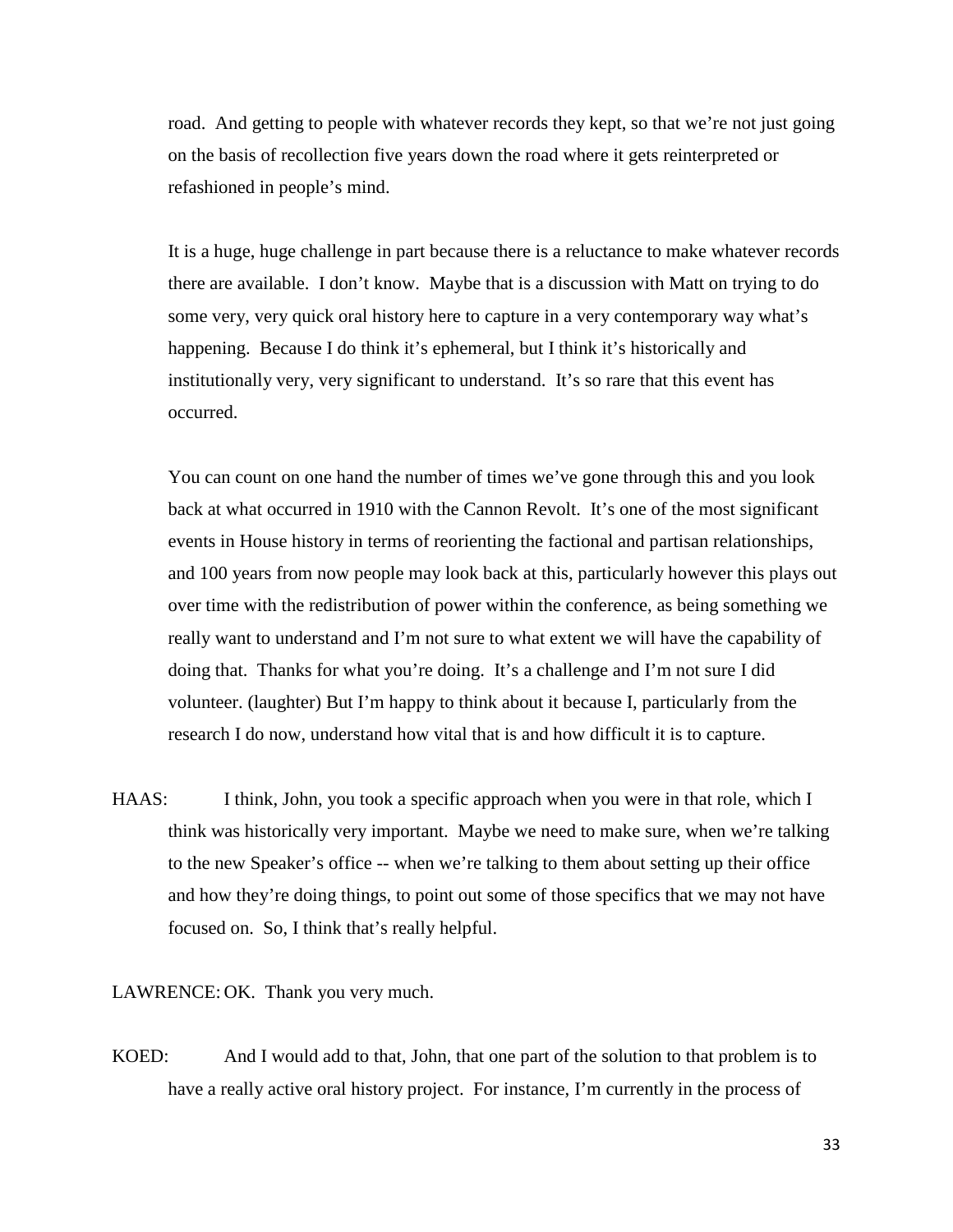road. And getting to people with whatever records they kept, so that we're not just going on the basis of recollection five years down the road where it gets reinterpreted or refashioned in people's mind.

It is a huge, huge challenge in part because there is a reluctance to make whatever records there are available. I don't know. Maybe that is a discussion with Matt on trying to do some very, very quick oral history here to capture in a very contemporary way what's happening. Because I do think it's ephemeral, but I think it's historically and institutionally very, very significant to understand. It's so rare that this event has occurred.

You can count on one hand the number of times we've gone through this and you look back at what occurred in 1910 with the Cannon Revolt. It's one of the most significant events in House history in terms of reorienting the factional and partisan relationships, and 100 years from now people may look back at this, particularly however this plays out over time with the redistribution of power within the conference, as being something we really want to understand and I'm not sure to what extent we will have the capability of doing that. Thanks for what you're doing. It's a challenge and I'm not sure I did volunteer. (laughter) But I'm happy to think about it because I, particularly from the research I do now, understand how vital that is and how difficult it is to capture.

HAAS: I think, John, you took a specific approach when you were in that role, which I think was historically very important. Maybe we need to make sure, when we're talking to the new Speaker's office -- when we're talking to them about setting up their office and how they're doing things, to point out some of those specifics that we may not have focused on. So, I think that's really helpful.

LAWRENCE: OK. Thank you very much.

KOED: And I would add to that, John, that one part of the solution to that problem is to have a really active oral history project. For instance, I'm currently in the process of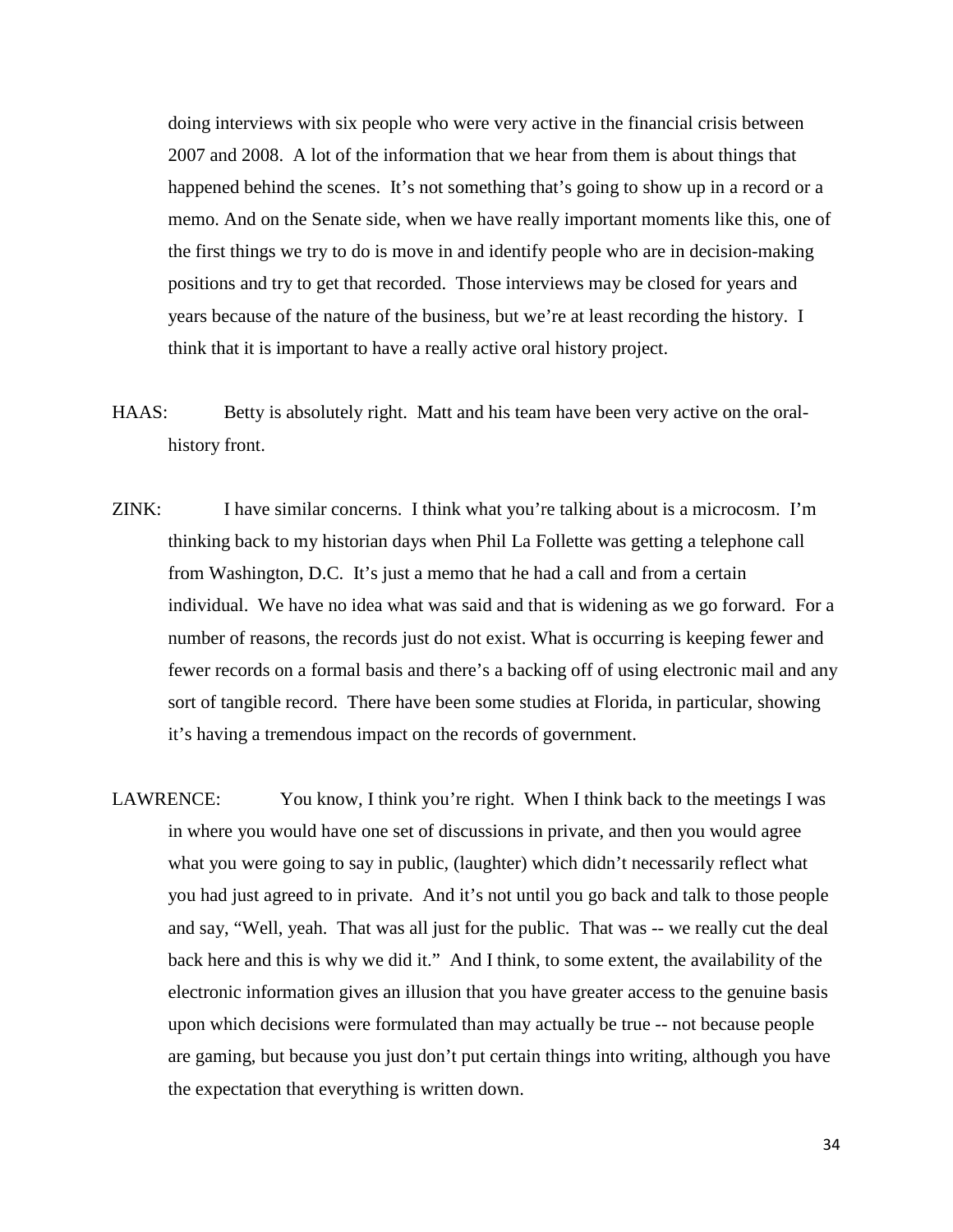doing interviews with six people who were very active in the financial crisis between 2007 and 2008. A lot of the information that we hear from them is about things that happened behind the scenes. It's not something that's going to show up in a record or a memo. And on the Senate side, when we have really important moments like this, one of the first things we try to do is move in and identify people who are in decision-making positions and try to get that recorded. Those interviews may be closed for years and years because of the nature of the business, but we're at least recording the history. I think that it is important to have a really active oral history project.

- HAAS: Betty is absolutely right. Matt and his team have been very active on the oralhistory front.
- ZINK: I have similar concerns. I think what you're talking about is a microcosm. I'm thinking back to my historian days when Phil La Follette was getting a telephone call from Washington, D.C. It's just a memo that he had a call and from a certain individual. We have no idea what was said and that is widening as we go forward. For a number of reasons, the records just do not exist. What is occurring is keeping fewer and fewer records on a formal basis and there's a backing off of using electronic mail and any sort of tangible record. There have been some studies at Florida, in particular, showing it's having a tremendous impact on the records of government.
- LAWRENCE: You know, I think you're right. When I think back to the meetings I was in where you would have one set of discussions in private, and then you would agree what you were going to say in public, (laughter) which didn't necessarily reflect what you had just agreed to in private. And it's not until you go back and talk to those people and say, "Well, yeah. That was all just for the public. That was -- we really cut the deal back here and this is why we did it." And I think, to some extent, the availability of the electronic information gives an illusion that you have greater access to the genuine basis upon which decisions were formulated than may actually be true -- not because people are gaming, but because you just don't put certain things into writing, although you have the expectation that everything is written down.